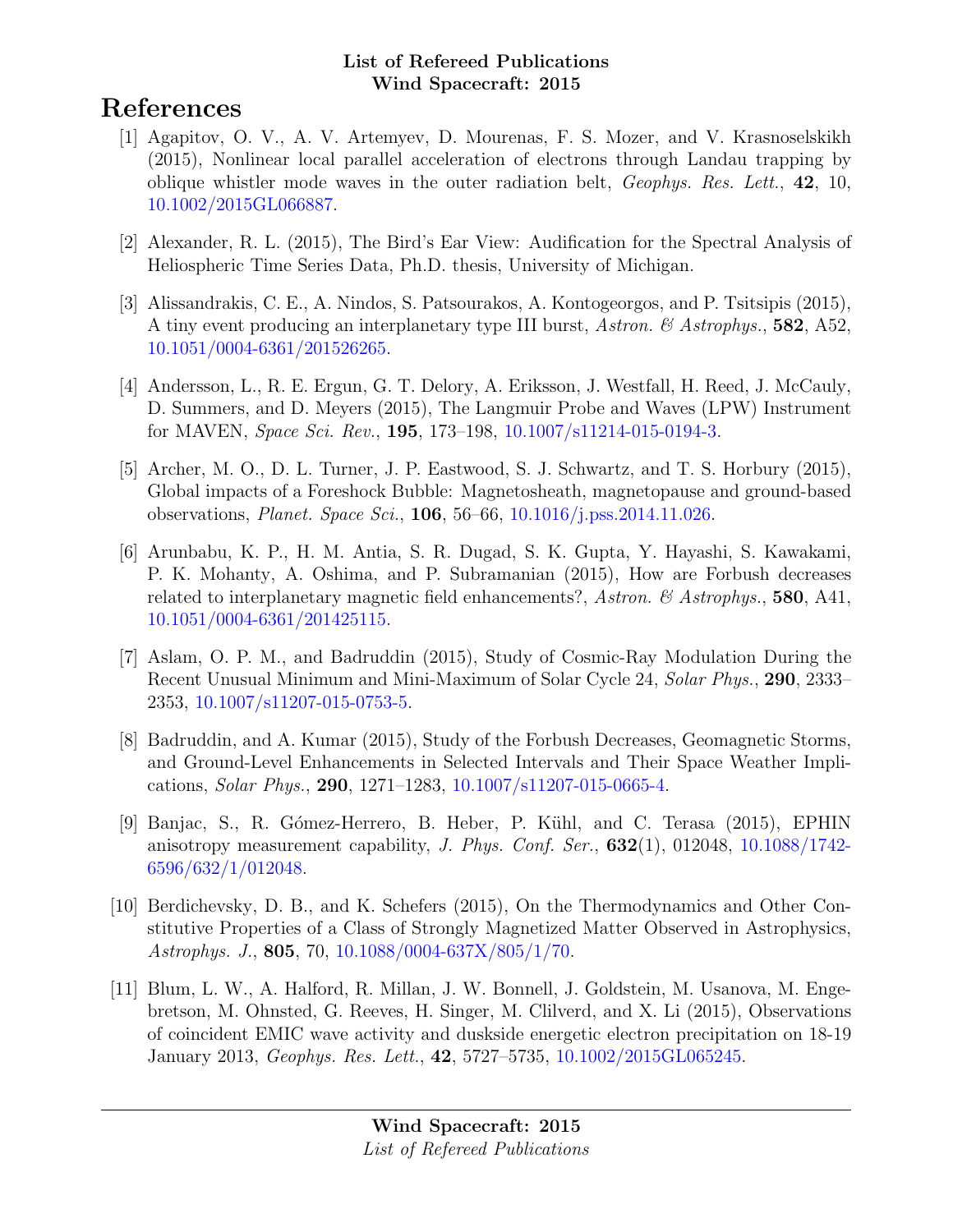# References

- [1] Agapitov, O. V., A. V. Artemyev, D. Mourenas, F. S. Mozer, and V. Krasnoselskikh (2015), Nonlinear local parallel acceleration of electrons through Landau trapping by oblique whistler mode waves in the outer radiation belt, Geophys. Res. Lett., 42, 10, [10.1002/2015GL066887.](http://dx.doi.org/10.1002/2015GL066887)
- [2] Alexander, R. L. (2015), The Bird's Ear View: Audification for the Spectral Analysis of Heliospheric Time Series Data, Ph.D. thesis, University of Michigan.
- [3] Alissandrakis, C. E., A. Nindos, S. Patsourakos, A. Kontogeorgos, and P. Tsitsipis (2015), A tiny event producing an interplanetary type III burst, Astron. & Astrophys., 582, A52, [10.1051/0004-6361/201526265.](http://dx.doi.org/10.1051/0004-6361/201526265)
- [4] Andersson, L., R. E. Ergun, G. T. Delory, A. Eriksson, J. Westfall, H. Reed, J. McCauly, D. Summers, and D. Meyers (2015), The Langmuir Probe and Waves (LPW) Instrument for MAVEN, Space Sci. Rev., 195, 173–198, [10.1007/s11214-015-0194-3.](http://dx.doi.org/10.1007/s11214-015-0194-3)
- [5] Archer, M. O., D. L. Turner, J. P. Eastwood, S. J. Schwartz, and T. S. Horbury (2015), Global impacts of a Foreshock Bubble: Magnetosheath, magnetopause and ground-based observations, Planet. Space Sci., 106, 56–66, [10.1016/j.pss.2014.11.026.](http://dx.doi.org/10.1016/j.pss.2014.11.026)
- [6] Arunbabu, K. P., H. M. Antia, S. R. Dugad, S. K. Gupta, Y. Hayashi, S. Kawakami, P. K. Mohanty, A. Oshima, and P. Subramanian (2015), How are Forbush decreases related to interplanetary magnetic field enhancements?, Astron. & Astrophys., 580, A41, [10.1051/0004-6361/201425115.](http://dx.doi.org/10.1051/0004-6361/201425115)
- [7] Aslam, O. P. M., and Badruddin (2015), Study of Cosmic-Ray Modulation During the Recent Unusual Minimum and Mini-Maximum of Solar Cycle 24, Solar Phys., 290, 2333– 2353, [10.1007/s11207-015-0753-5.](http://dx.doi.org/10.1007/s11207-015-0753-5)
- [8] Badruddin, and A. Kumar (2015), Study of the Forbush Decreases, Geomagnetic Storms, and Ground-Level Enhancements in Selected Intervals and Their Space Weather Implications, Solar Phys., 290, 1271–1283, [10.1007/s11207-015-0665-4.](http://dx.doi.org/10.1007/s11207-015-0665-4)
- [9] Banjac, S., R. G´omez-Herrero, B. Heber, P. K¨uhl, and C. Terasa (2015), EPHIN anisotropy measurement capability, *J. Phys. Conf. Ser.*,  $632(1)$ ,  $012048$ ,  $10.1088/1742$ -[6596/632/1/012048.](http://dx.doi.org/10.1088/1742-6596/632/1/012048)
- [10] Berdichevsky, D. B., and K. Schefers (2015), On the Thermodynamics and Other Constitutive Properties of a Class of Strongly Magnetized Matter Observed in Astrophysics, Astrophys. J., 805, 70, [10.1088/0004-637X/805/1/70.](http://dx.doi.org/10.1088/0004-637X/805/1/70)
- [11] Blum, L. W., A. Halford, R. Millan, J. W. Bonnell, J. Goldstein, M. Usanova, M. Engebretson, M. Ohnsted, G. Reeves, H. Singer, M. Clilverd, and X. Li (2015), Observations of coincident EMIC wave activity and duskside energetic electron precipitation on 18-19 January 2013, Geophys. Res. Lett., 42, 5727–5735, [10.1002/2015GL065245.](http://dx.doi.org/10.1002/2015GL065245)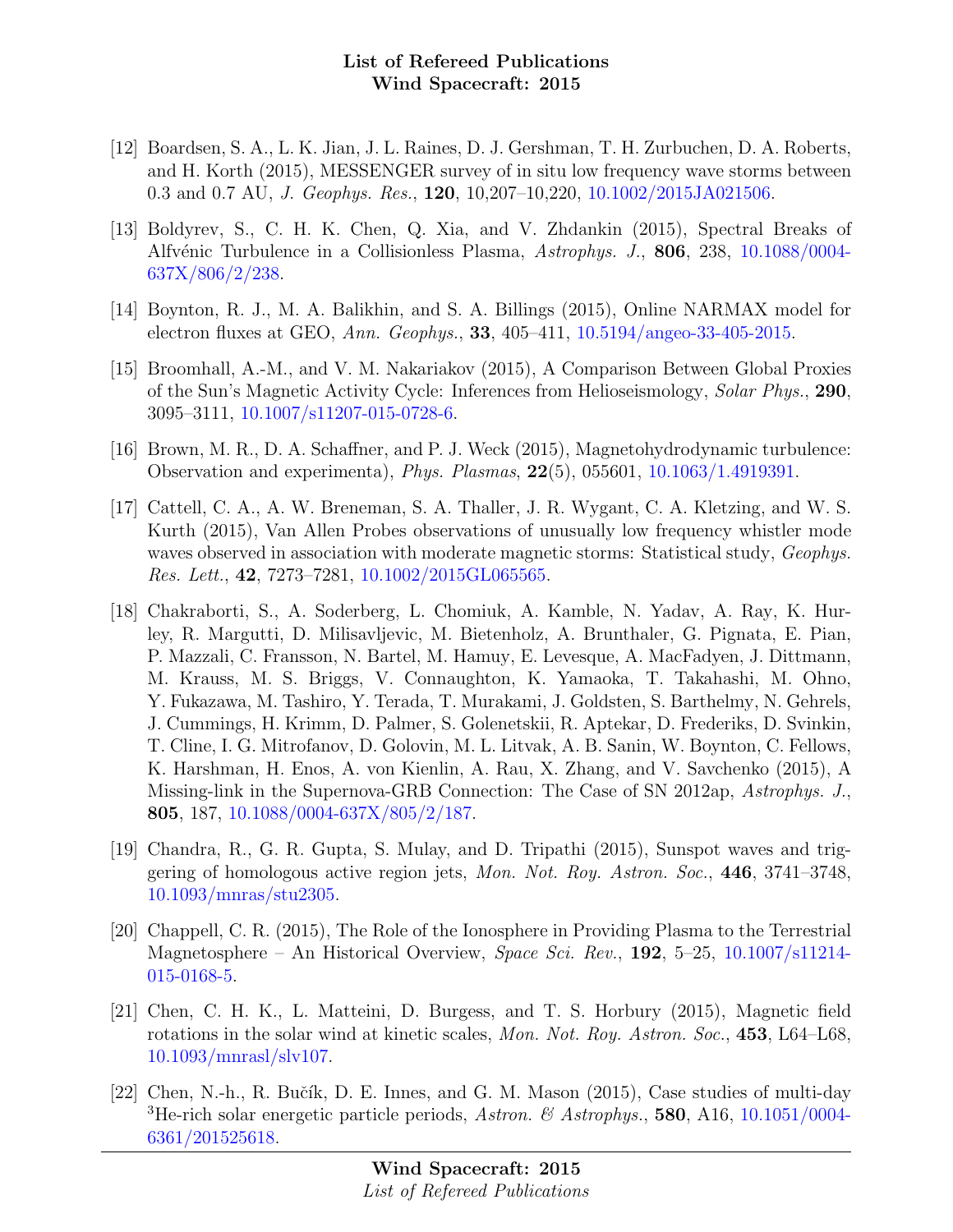- [12] Boardsen, S. A., L. K. Jian, J. L. Raines, D. J. Gershman, T. H. Zurbuchen, D. A. Roberts, and H. Korth (2015), MESSENGER survey of in situ low frequency wave storms between 0.3 and 0.7 AU, J. Geophys. Res., 120, 10,207–10,220, [10.1002/2015JA021506.](http://dx.doi.org/10.1002/2015JA021506)
- [13] Boldyrev, S., C. H. K. Chen, Q. Xia, and V. Zhdankin (2015), Spectral Breaks of Alfvénic Turbulence in a Collisionless Plasma, Astrophys. J., 806, 238, [10.1088/0004-](http://dx.doi.org/10.1088/0004-637X/806/2/238) [637X/806/2/238.](http://dx.doi.org/10.1088/0004-637X/806/2/238)
- [14] Boynton, R. J., M. A. Balikhin, and S. A. Billings (2015), Online NARMAX model for electron fluxes at GEO, Ann. Geophys., 33, 405–411, [10.5194/angeo-33-405-2015.](http://dx.doi.org/10.5194/angeo-33-405-2015)
- [15] Broomhall, A.-M., and V. M. Nakariakov (2015), A Comparison Between Global Proxies of the Sun's Magnetic Activity Cycle: Inferences from Helioseismology, Solar Phys., 290, 3095–3111, [10.1007/s11207-015-0728-6.](http://dx.doi.org/10.1007/s11207-015-0728-6)
- [16] Brown, M. R., D. A. Schaffner, and P. J. Weck (2015), Magnetohydrodynamic turbulence: Observation and experimenta), Phys. Plasmas, 22(5), 055601, [10.1063/1.4919391.](http://dx.doi.org/10.1063/1.4919391)
- [17] Cattell, C. A., A. W. Breneman, S. A. Thaller, J. R. Wygant, C. A. Kletzing, and W. S. Kurth (2015), Van Allen Probes observations of unusually low frequency whistler mode waves observed in association with moderate magnetic storms: Statistical study, Geophys. Res. Lett., 42, 7273–7281, [10.1002/2015GL065565.](http://dx.doi.org/10.1002/2015GL065565)
- [18] Chakraborti, S., A. Soderberg, L. Chomiuk, A. Kamble, N. Yadav, A. Ray, K. Hurley, R. Margutti, D. Milisavljevic, M. Bietenholz, A. Brunthaler, G. Pignata, E. Pian, P. Mazzali, C. Fransson, N. Bartel, M. Hamuy, E. Levesque, A. MacFadyen, J. Dittmann, M. Krauss, M. S. Briggs, V. Connaughton, K. Yamaoka, T. Takahashi, M. Ohno, Y. Fukazawa, M. Tashiro, Y. Terada, T. Murakami, J. Goldsten, S. Barthelmy, N. Gehrels, J. Cummings, H. Krimm, D. Palmer, S. Golenetskii, R. Aptekar, D. Frederiks, D. Svinkin, T. Cline, I. G. Mitrofanov, D. Golovin, M. L. Litvak, A. B. Sanin, W. Boynton, C. Fellows, K. Harshman, H. Enos, A. von Kienlin, A. Rau, X. Zhang, and V. Savchenko (2015), A Missing-link in the Supernova-GRB Connection: The Case of SN 2012ap, Astrophys. J., 805, 187, [10.1088/0004-637X/805/2/187.](http://dx.doi.org/10.1088/0004-637X/805/2/187)
- [19] Chandra, R., G. R. Gupta, S. Mulay, and D. Tripathi (2015), Sunspot waves and triggering of homologous active region jets, Mon. Not. Roy. Astron. Soc., 446, 3741–3748, [10.1093/mnras/stu2305.](http://dx.doi.org/10.1093/mnras/stu2305)
- [20] Chappell, C. R. (2015), The Role of the Ionosphere in Providing Plasma to the Terrestrial Magnetosphere – An Historical Overview, Space Sci. Rev., 192, 5–25, [10.1007/s11214-](http://dx.doi.org/10.1007/s11214-015-0168-5) [015-0168-5.](http://dx.doi.org/10.1007/s11214-015-0168-5)
- [21] Chen, C. H. K., L. Matteini, D. Burgess, and T. S. Horbury (2015), Magnetic field rotations in the solar wind at kinetic scales, Mon. Not. Roy. Astron. Soc., 453, L64–L68, [10.1093/mnrasl/slv107.](http://dx.doi.org/10.1093/mnrasl/slv107)
- [22] Chen, N.-h., R. Bučík, D. E. Innes, and G. M. Mason (2015), Case studies of multi-day <sup>3</sup>He-rich solar energetic particle periods, Astron. & Astrophys., **580**, A16, [10.1051/0004-](http://dx.doi.org/10.1051/0004-6361/201525618) [6361/201525618.](http://dx.doi.org/10.1051/0004-6361/201525618)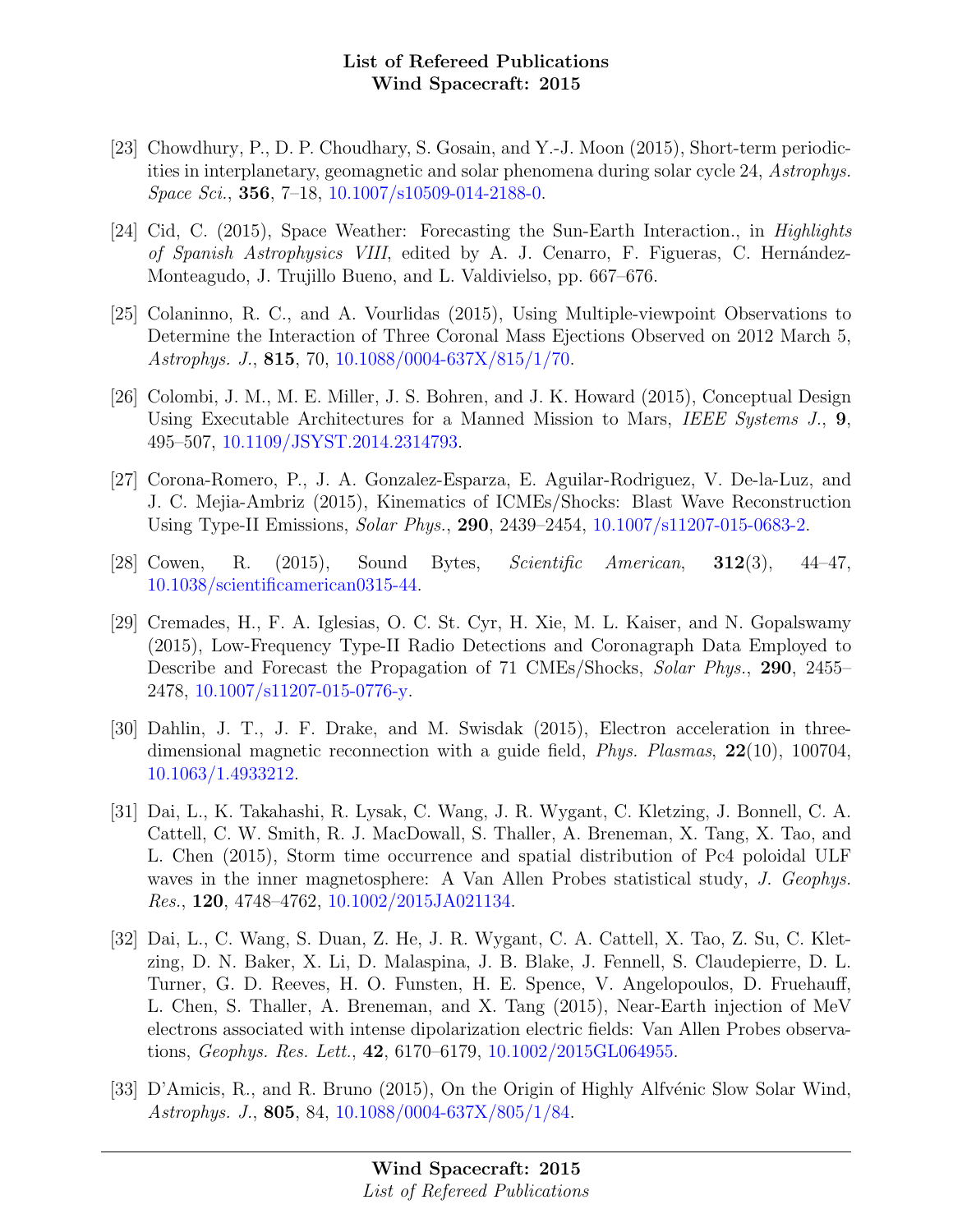- [23] Chowdhury, P., D. P. Choudhary, S. Gosain, and Y.-J. Moon (2015), Short-term periodicities in interplanetary, geomagnetic and solar phenomena during solar cycle 24, Astrophys. Space Sci., 356, 7–18, [10.1007/s10509-014-2188-0.](http://dx.doi.org/10.1007/s10509-014-2188-0)
- [24] Cid, C. (2015), Space Weather: Forecasting the Sun-Earth Interaction., in Highlights of Spanish Astrophysics VIII, edited by A. J. Cenarro, F. Figueras, C. Hernández-Monteagudo, J. Trujillo Bueno, and L. Valdivielso, pp. 667–676.
- [25] Colaninno, R. C., and A. Vourlidas (2015), Using Multiple-viewpoint Observations to Determine the Interaction of Three Coronal Mass Ejections Observed on 2012 March 5, Astrophys. J., 815, 70, [10.1088/0004-637X/815/1/70.](http://dx.doi.org/10.1088/0004-637X/815/1/70)
- [26] Colombi, J. M., M. E. Miller, J. S. Bohren, and J. K. Howard (2015), Conceptual Design Using Executable Architectures for a Manned Mission to Mars, IEEE Systems J., 9, 495–507, [10.1109/JSYST.2014.2314793.](http://dx.doi.org/10.1109/JSYST.2014.2314793)
- [27] Corona-Romero, P., J. A. Gonzalez-Esparza, E. Aguilar-Rodriguez, V. De-la-Luz, and J. C. Mejia-Ambriz (2015), Kinematics of ICMEs/Shocks: Blast Wave Reconstruction Using Type-II Emissions, *Solar Phys.*, **290**, 2439–2454, [10.1007/s11207-015-0683-2.](http://dx.doi.org/10.1007/s11207-015-0683-2)
- [28] Cowen, R. (2015), Sound Bytes, Scientific American, 312(3), 44–47, [10.1038/scientificamerican0315-44.](http://dx.doi.org/10.1038/scientificamerican0315-44)
- [29] Cremades, H., F. A. Iglesias, O. C. St. Cyr, H. Xie, M. L. Kaiser, and N. Gopalswamy (2015), Low-Frequency Type-II Radio Detections and Coronagraph Data Employed to Describe and Forecast the Propagation of 71 CMEs/Shocks, Solar Phys., 290, 2455– 2478, [10.1007/s11207-015-0776-y.](http://dx.doi.org/10.1007/s11207-015-0776-y)
- [30] Dahlin, J. T., J. F. Drake, and M. Swisdak (2015), Electron acceleration in threedimensional magnetic reconnection with a guide field, Phys. Plasmas, 22(10), 100704, [10.1063/1.4933212.](http://dx.doi.org/10.1063/1.4933212)
- [31] Dai, L., K. Takahashi, R. Lysak, C. Wang, J. R. Wygant, C. Kletzing, J. Bonnell, C. A. Cattell, C. W. Smith, R. J. MacDowall, S. Thaller, A. Breneman, X. Tang, X. Tao, and L. Chen (2015), Storm time occurrence and spatial distribution of Pc4 poloidal ULF waves in the inner magnetosphere: A Van Allen Probes statistical study, J. Geophys. Res., 120, 4748–4762, [10.1002/2015JA021134.](http://dx.doi.org/10.1002/2015JA021134)
- [32] Dai, L., C. Wang, S. Duan, Z. He, J. R. Wygant, C. A. Cattell, X. Tao, Z. Su, C. Kletzing, D. N. Baker, X. Li, D. Malaspina, J. B. Blake, J. Fennell, S. Claudepierre, D. L. Turner, G. D. Reeves, H. O. Funsten, H. E. Spence, V. Angelopoulos, D. Fruehauff, L. Chen, S. Thaller, A. Breneman, and X. Tang (2015), Near-Earth injection of MeV electrons associated with intense dipolarization electric fields: Van Allen Probes observations, Geophys. Res. Lett., 42, 6170–6179, [10.1002/2015GL064955.](http://dx.doi.org/10.1002/2015GL064955)
- [33] D'Amicis, R., and R. Bruno (2015), On the Origin of Highly Alfvénic Slow Solar Wind, Astrophys. J., 805, 84, [10.1088/0004-637X/805/1/84.](http://dx.doi.org/10.1088/0004-637X/805/1/84)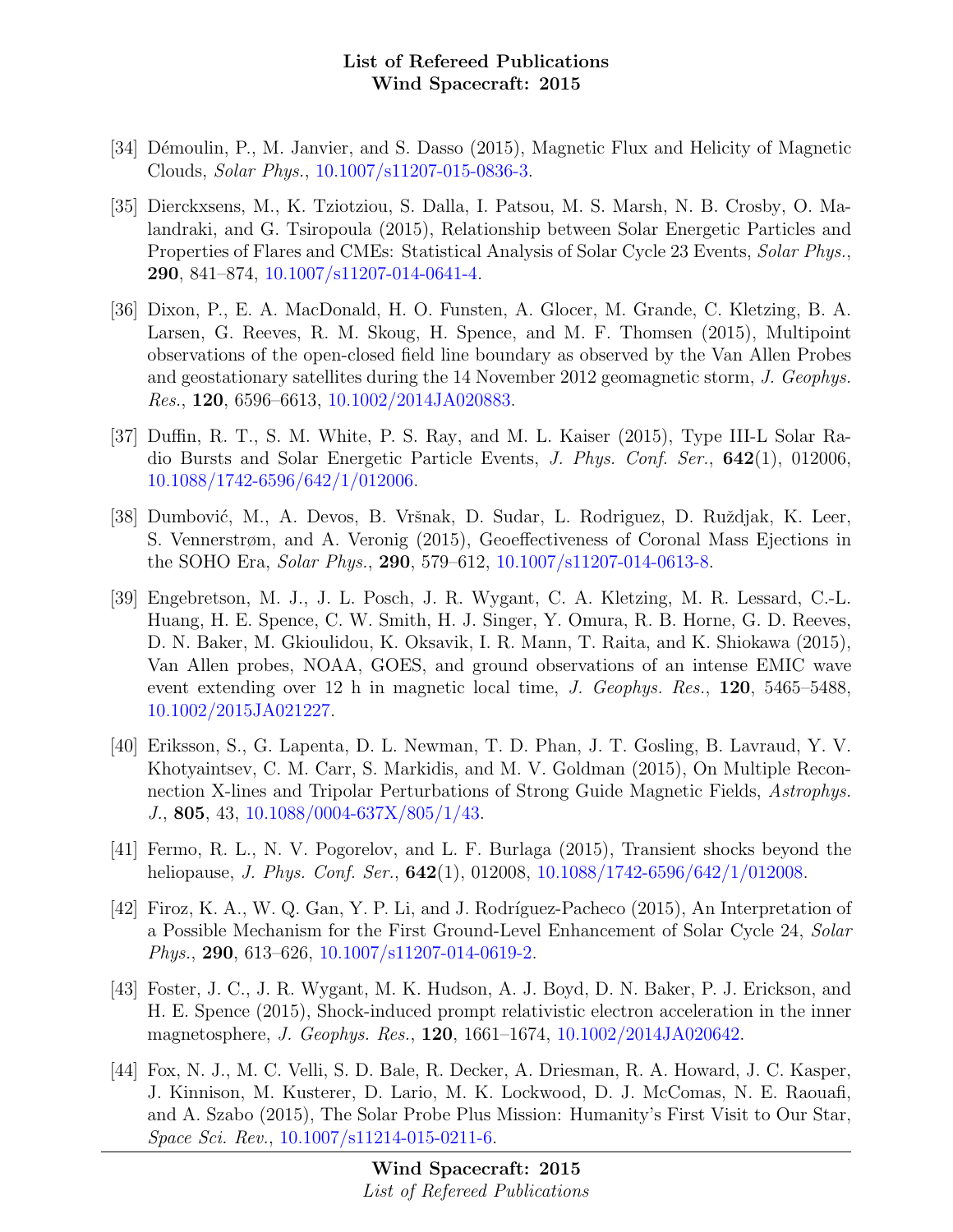- [34] Démoulin, P., M. Janvier, and S. Dasso (2015), Magnetic Flux and Helicity of Magnetic Clouds, Solar Phys., [10.1007/s11207-015-0836-3.](http://dx.doi.org/10.1007/s11207-015-0836-3)
- [35] Dierckxsens, M., K. Tziotziou, S. Dalla, I. Patsou, M. S. Marsh, N. B. Crosby, O. Malandraki, and G. Tsiropoula (2015), Relationship between Solar Energetic Particles and Properties of Flares and CMEs: Statistical Analysis of Solar Cycle 23 Events, Solar Phys., 290, 841–874, [10.1007/s11207-014-0641-4.](http://dx.doi.org/10.1007/s11207-014-0641-4)
- [36] Dixon, P., E. A. MacDonald, H. O. Funsten, A. Glocer, M. Grande, C. Kletzing, B. A. Larsen, G. Reeves, R. M. Skoug, H. Spence, and M. F. Thomsen (2015), Multipoint observations of the open-closed field line boundary as observed by the Van Allen Probes and geostationary satellites during the 14 November 2012 geomagnetic storm, J. Geophys. Res., 120, 6596–6613, [10.1002/2014JA020883.](http://dx.doi.org/10.1002/2014JA020883)
- [37] Duffin, R. T., S. M. White, P. S. Ray, and M. L. Kaiser (2015), Type III-L Solar Radio Bursts and Solar Energetic Particle Events, J. Phys. Conf. Ser., 642(1), 012006, [10.1088/1742-6596/642/1/012006.](http://dx.doi.org/10.1088/1742-6596/642/1/012006)
- [38] Dumbović, M., A. Devos, B. Vršnak, D. Sudar, L. Rodriguez, D. Ruždjak, K. Leer, S. Vennerstrøm, and A. Veronig (2015), Geoeffectiveness of Coronal Mass Ejections in the SOHO Era, Solar Phys., 290, 579–612, [10.1007/s11207-014-0613-8.](http://dx.doi.org/10.1007/s11207-014-0613-8)
- [39] Engebretson, M. J., J. L. Posch, J. R. Wygant, C. A. Kletzing, M. R. Lessard, C.-L. Huang, H. E. Spence, C. W. Smith, H. J. Singer, Y. Omura, R. B. Horne, G. D. Reeves, D. N. Baker, M. Gkioulidou, K. Oksavik, I. R. Mann, T. Raita, and K. Shiokawa (2015), Van Allen probes, NOAA, GOES, and ground observations of an intense EMIC wave event extending over 12 h in magnetic local time, *J. Geophys. Res.*, **120**, 5465–5488, [10.1002/2015JA021227.](http://dx.doi.org/10.1002/2015JA021227)
- [40] Eriksson, S., G. Lapenta, D. L. Newman, T. D. Phan, J. T. Gosling, B. Lavraud, Y. V. Khotyaintsev, C. M. Carr, S. Markidis, and M. V. Goldman (2015), On Multiple Reconnection X-lines and Tripolar Perturbations of Strong Guide Magnetic Fields, Astrophys. J., 805, 43, [10.1088/0004-637X/805/1/43.](http://dx.doi.org/10.1088/0004-637X/805/1/43)
- [41] Fermo, R. L., N. V. Pogorelov, and L. F. Burlaga (2015), Transient shocks beyond the heliopause, *J. Phys. Conf. Ser.*, **642**(1), 012008, [10.1088/1742-6596/642/1/012008.](http://dx.doi.org/10.1088/1742-6596/642/1/012008)
- [42] Firoz, K. A., W. Q. Gan, Y. P. Li, and J. Rodríguez-Pacheco (2015), An Interpretation of a Possible Mechanism for the First Ground-Level Enhancement of Solar Cycle 24, Solar Phys., 290, 613–626, [10.1007/s11207-014-0619-2.](http://dx.doi.org/10.1007/s11207-014-0619-2)
- [43] Foster, J. C., J. R. Wygant, M. K. Hudson, A. J. Boyd, D. N. Baker, P. J. Erickson, and H. E. Spence (2015), Shock-induced prompt relativistic electron acceleration in the inner magnetosphere, J. Geophys. Res., 120, 1661–1674, [10.1002/2014JA020642.](http://dx.doi.org/10.1002/2014JA020642)
- [44] Fox, N. J., M. C. Velli, S. D. Bale, R. Decker, A. Driesman, R. A. Howard, J. C. Kasper, J. Kinnison, M. Kusterer, D. Lario, M. K. Lockwood, D. J. McComas, N. E. Raouafi, and A. Szabo (2015), The Solar Probe Plus Mission: Humanity's First Visit to Our Star, Space Sci. Rev., [10.1007/s11214-015-0211-6.](http://dx.doi.org/10.1007/s11214-015-0211-6)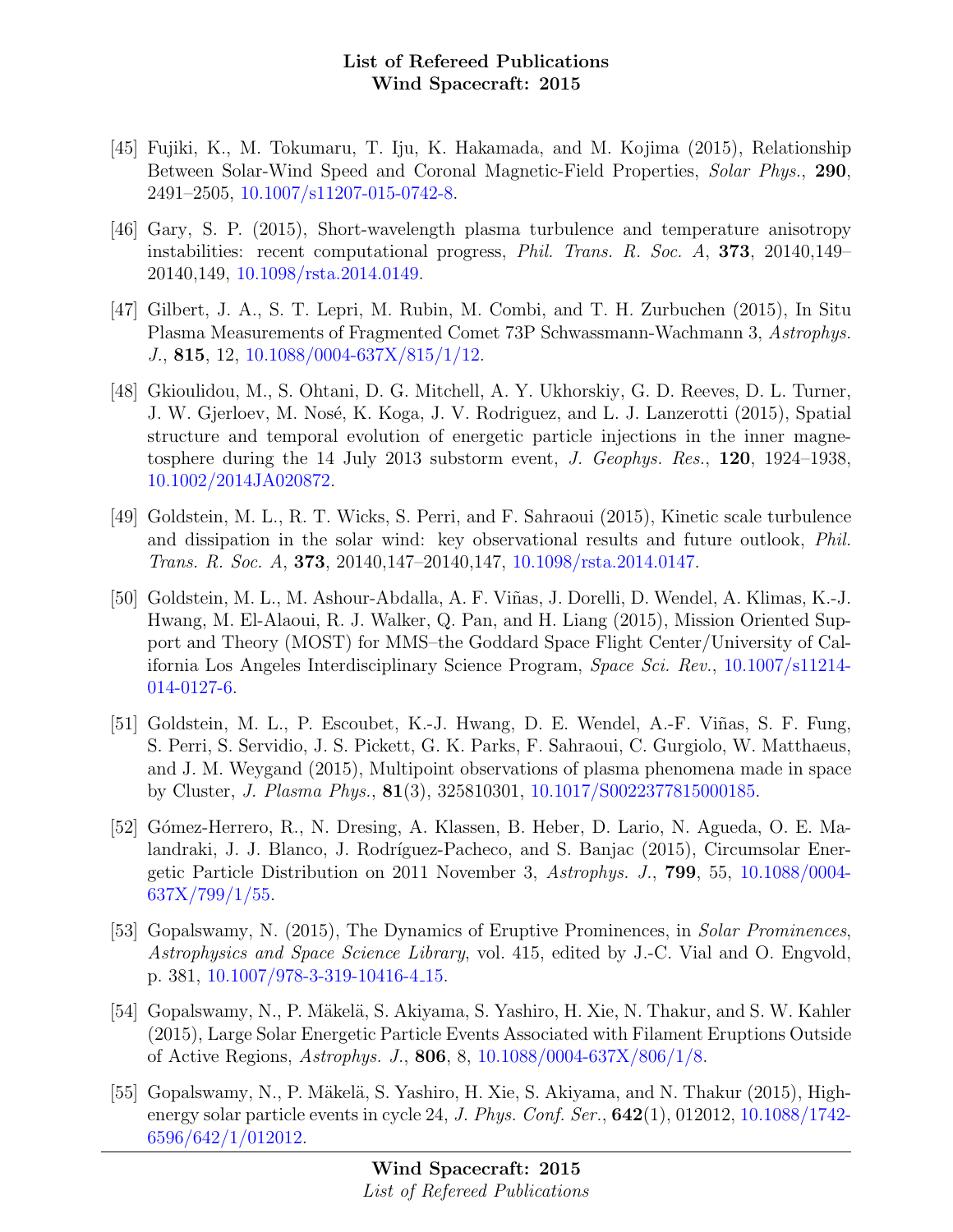- [45] Fujiki, K., M. Tokumaru, T. Iju, K. Hakamada, and M. Kojima (2015), Relationship Between Solar-Wind Speed and Coronal Magnetic-Field Properties, Solar Phys., 290, 2491–2505, [10.1007/s11207-015-0742-8.](http://dx.doi.org/10.1007/s11207-015-0742-8)
- [46] Gary, S. P. (2015), Short-wavelength plasma turbulence and temperature anisotropy instabilities: recent computational progress, Phil. Trans. R. Soc. A, 373, 20140,149– 20140,149, [10.1098/rsta.2014.0149.](http://dx.doi.org/10.1098/rsta.2014.0149)
- [47] Gilbert, J. A., S. T. Lepri, M. Rubin, M. Combi, and T. H. Zurbuchen (2015), In Situ Plasma Measurements of Fragmented Comet 73P Schwassmann-Wachmann 3, Astrophys. J., 815, 12, [10.1088/0004-637X/815/1/12.](http://dx.doi.org/10.1088/0004-637X/815/1/12)
- [48] Gkioulidou, M., S. Ohtani, D. G. Mitchell, A. Y. Ukhorskiy, G. D. Reeves, D. L. Turner, J. W. Gjerloev, M. Nosé, K. Koga, J. V. Rodriguez, and L. J. Lanzerotti (2015), Spatial structure and temporal evolution of energetic particle injections in the inner magnetosphere during the 14 July 2013 substorm event, J. Geophys. Res., 120, 1924–1938, [10.1002/2014JA020872.](http://dx.doi.org/10.1002/2014JA020872)
- [49] Goldstein, M. L., R. T. Wicks, S. Perri, and F. Sahraoui (2015), Kinetic scale turbulence and dissipation in the solar wind: key observational results and future outlook, Phil. Trans. R. Soc. A, 373, 20140,147–20140,147, [10.1098/rsta.2014.0147.](http://dx.doi.org/10.1098/rsta.2014.0147)
- [50] Goldstein, M. L., M. Ashour-Abdalla, A. F. Vi˜nas, J. Dorelli, D. Wendel, A. Klimas, K.-J. Hwang, M. El-Alaoui, R. J. Walker, Q. Pan, and H. Liang (2015), Mission Oriented Support and Theory (MOST) for MMS–the Goddard Space Flight Center/University of California Los Angeles Interdisciplinary Science Program, Space Sci. Rev., [10.1007/s11214-](http://dx.doi.org/10.1007/s11214-014-0127-6) [014-0127-6.](http://dx.doi.org/10.1007/s11214-014-0127-6)
- [51] Goldstein, M. L., P. Escoubet, K.-J. Hwang, D. E. Wendel, A.-F. Viñas, S. F. Fung, S. Perri, S. Servidio, J. S. Pickett, G. K. Parks, F. Sahraoui, C. Gurgiolo, W. Matthaeus, and J. M. Weygand (2015), Multipoint observations of plasma phenomena made in space by Cluster, J. Plasma Phys., 81(3), 325810301, [10.1017/S0022377815000185.](http://dx.doi.org/10.1017/S0022377815000185)
- [52] G´omez-Herrero, R., N. Dresing, A. Klassen, B. Heber, D. Lario, N. Agueda, O. E. Malandraki, J. J. Blanco, J. Rodríguez-Pacheco, and S. Banjac (2015), Circumsolar Energetic Particle Distribution on 2011 November 3, Astrophys. J., 799, 55, [10.1088/0004-](http://dx.doi.org/10.1088/0004-637X/799/1/55)  $637X/799/1/55$ .
- [53] Gopalswamy, N. (2015), The Dynamics of Eruptive Prominences, in Solar Prominences, Astrophysics and Space Science Library, vol. 415, edited by J.-C. Vial and O. Engvold, p. 381, [10.1007/978-3-319-10416-4](http://dx.doi.org/10.1007/978-3-319-10416-4_15) 15.
- [54] Gopalswamy, N., P. Mäkelä, S. Akiyama, S. Yashiro, H. Xie, N. Thakur, and S. W. Kahler (2015), Large Solar Energetic Particle Events Associated with Filament Eruptions Outside of Active Regions, Astrophys. J., 806, 8, [10.1088/0004-637X/806/1/8.](http://dx.doi.org/10.1088/0004-637X/806/1/8)
- [55] Gopalswamy, N., P. Mäkelä, S. Yashiro, H. Xie, S. Akiyama, and N. Thakur (2015), Highenergy solar particle events in cycle 24, J. Phys. Conf. Ser.,  $642(1)$ , 012012, [10.1088/1742-](http://dx.doi.org/10.1088/1742-6596/642/1/012012) [6596/642/1/012012.](http://dx.doi.org/10.1088/1742-6596/642/1/012012)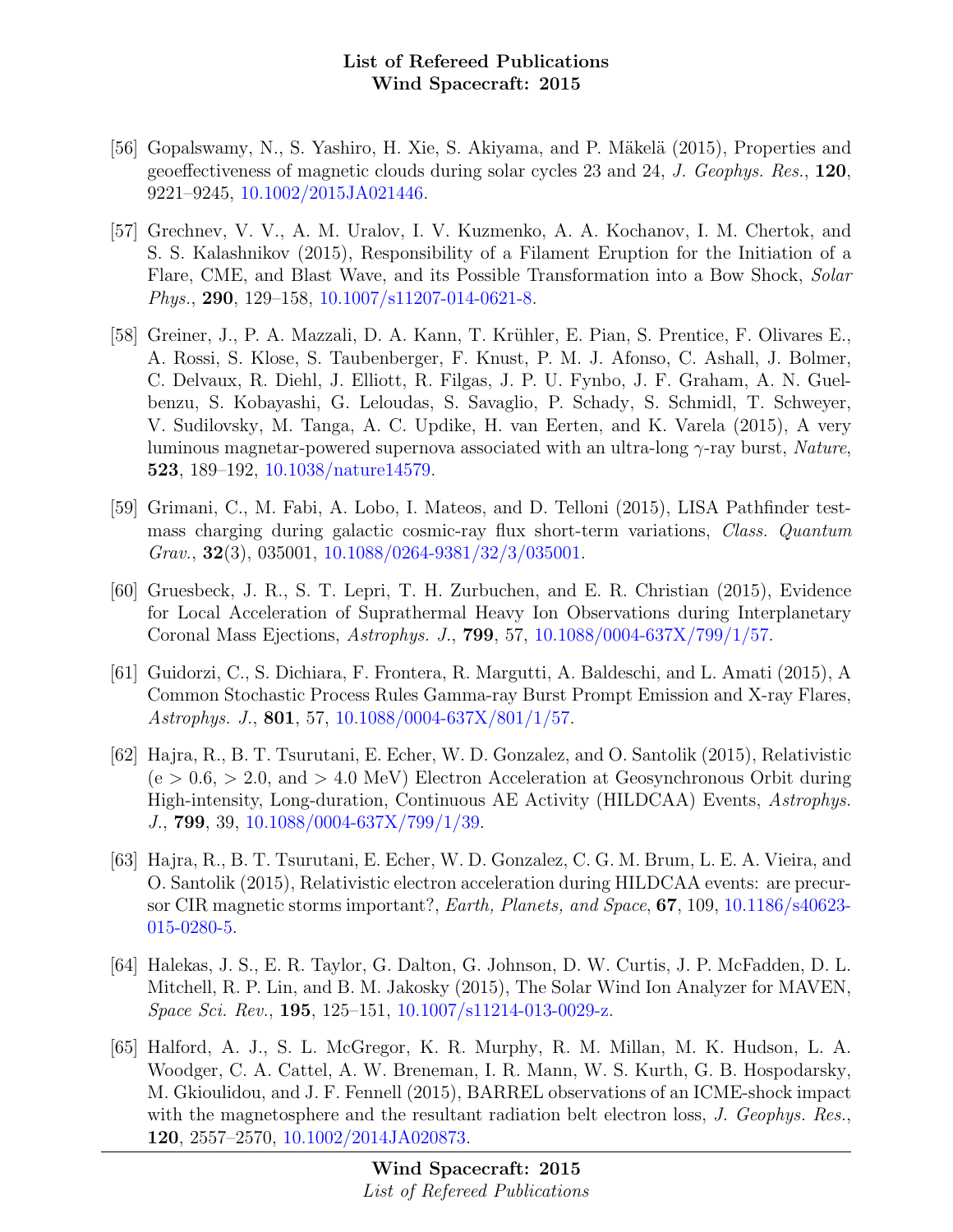- [56] Gopalswamy, N., S. Yashiro, H. Xie, S. Akiyama, and P. Mäkelä (2015), Properties and geoeffectiveness of magnetic clouds during solar cycles 23 and 24, J. Geophys. Res., 120, 9221–9245, [10.1002/2015JA021446.](http://dx.doi.org/10.1002/2015JA021446)
- [57] Grechnev, V. V., A. M. Uralov, I. V. Kuzmenko, A. A. Kochanov, I. M. Chertok, and S. S. Kalashnikov (2015), Responsibility of a Filament Eruption for the Initiation of a Flare, CME, and Blast Wave, and its Possible Transformation into a Bow Shock, Solar Phys., 290, 129–158, [10.1007/s11207-014-0621-8.](http://dx.doi.org/10.1007/s11207-014-0621-8)
- [58] Greiner, J., P. A. Mazzali, D. A. Kann, T. Krühler, E. Pian, S. Prentice, F. Olivares E., A. Rossi, S. Klose, S. Taubenberger, F. Knust, P. M. J. Afonso, C. Ashall, J. Bolmer, C. Delvaux, R. Diehl, J. Elliott, R. Filgas, J. P. U. Fynbo, J. F. Graham, A. N. Guelbenzu, S. Kobayashi, G. Leloudas, S. Savaglio, P. Schady, S. Schmidl, T. Schweyer, V. Sudilovsky, M. Tanga, A. C. Updike, H. van Eerten, and K. Varela (2015), A very luminous magnetar-powered supernova associated with an ultra-long  $\gamma$ -ray burst, Nature, 523, 189–192, [10.1038/nature14579.](http://dx.doi.org/10.1038/nature14579)
- [59] Grimani, C., M. Fabi, A. Lobo, I. Mateos, and D. Telloni (2015), LISA Pathfinder testmass charging during galactic cosmic-ray flux short-term variations, Class. Quantum  $Grav.$ , **32**(3), 035001, [10.1088/0264-9381/32/3/035001.](http://dx.doi.org/10.1088/0264-9381/32/3/035001)
- [60] Gruesbeck, J. R., S. T. Lepri, T. H. Zurbuchen, and E. R. Christian (2015), Evidence for Local Acceleration of Suprathermal Heavy Ion Observations during Interplanetary Coronal Mass Ejections, Astrophys. J., 799, 57, [10.1088/0004-637X/799/1/57.](http://dx.doi.org/10.1088/0004-637X/799/1/57)
- [61] Guidorzi, C., S. Dichiara, F. Frontera, R. Margutti, A. Baldeschi, and L. Amati (2015), A Common Stochastic Process Rules Gamma-ray Burst Prompt Emission and X-ray Flares, Astrophys. J., 801, 57, [10.1088/0004-637X/801/1/57.](http://dx.doi.org/10.1088/0004-637X/801/1/57)
- [62] Hajra, R., B. T. Tsurutani, E. Echer, W. D. Gonzalez, and O. Santolik (2015), Relativistic  $(e > 0.6, > 2.0,$  and  $> 4.0$  MeV) Electron Acceleration at Geosynchronous Orbit during High-intensity, Long-duration, Continuous AE Activity (HILDCAA) Events, Astrophys. J., 799, 39, [10.1088/0004-637X/799/1/39.](http://dx.doi.org/10.1088/0004-637X/799/1/39)
- [63] Hajra, R., B. T. Tsurutani, E. Echer, W. D. Gonzalez, C. G. M. Brum, L. E. A. Vieira, and O. Santolik (2015), Relativistic electron acceleration during HILDCAA events: are precursor CIR magnetic storms important?, Earth, Planets, and Space, 67, 109, [10.1186/s40623-](http://dx.doi.org/10.1186/s40623-015-0280-5) [015-0280-5.](http://dx.doi.org/10.1186/s40623-015-0280-5)
- [64] Halekas, J. S., E. R. Taylor, G. Dalton, G. Johnson, D. W. Curtis, J. P. McFadden, D. L. Mitchell, R. P. Lin, and B. M. Jakosky (2015), The Solar Wind Ion Analyzer for MAVEN, Space Sci. Rev., 195, 125–151, [10.1007/s11214-013-0029-z.](http://dx.doi.org/10.1007/s11214-013-0029-z)
- [65] Halford, A. J., S. L. McGregor, K. R. Murphy, R. M. Millan, M. K. Hudson, L. A. Woodger, C. A. Cattel, A. W. Breneman, I. R. Mann, W. S. Kurth, G. B. Hospodarsky, M. Gkioulidou, and J. F. Fennell (2015), BARREL observations of an ICME-shock impact with the magnetosphere and the resultant radiation belt electron loss, J. Geophys. Res., 120, 2557–2570, [10.1002/2014JA020873.](http://dx.doi.org/10.1002/2014JA020873)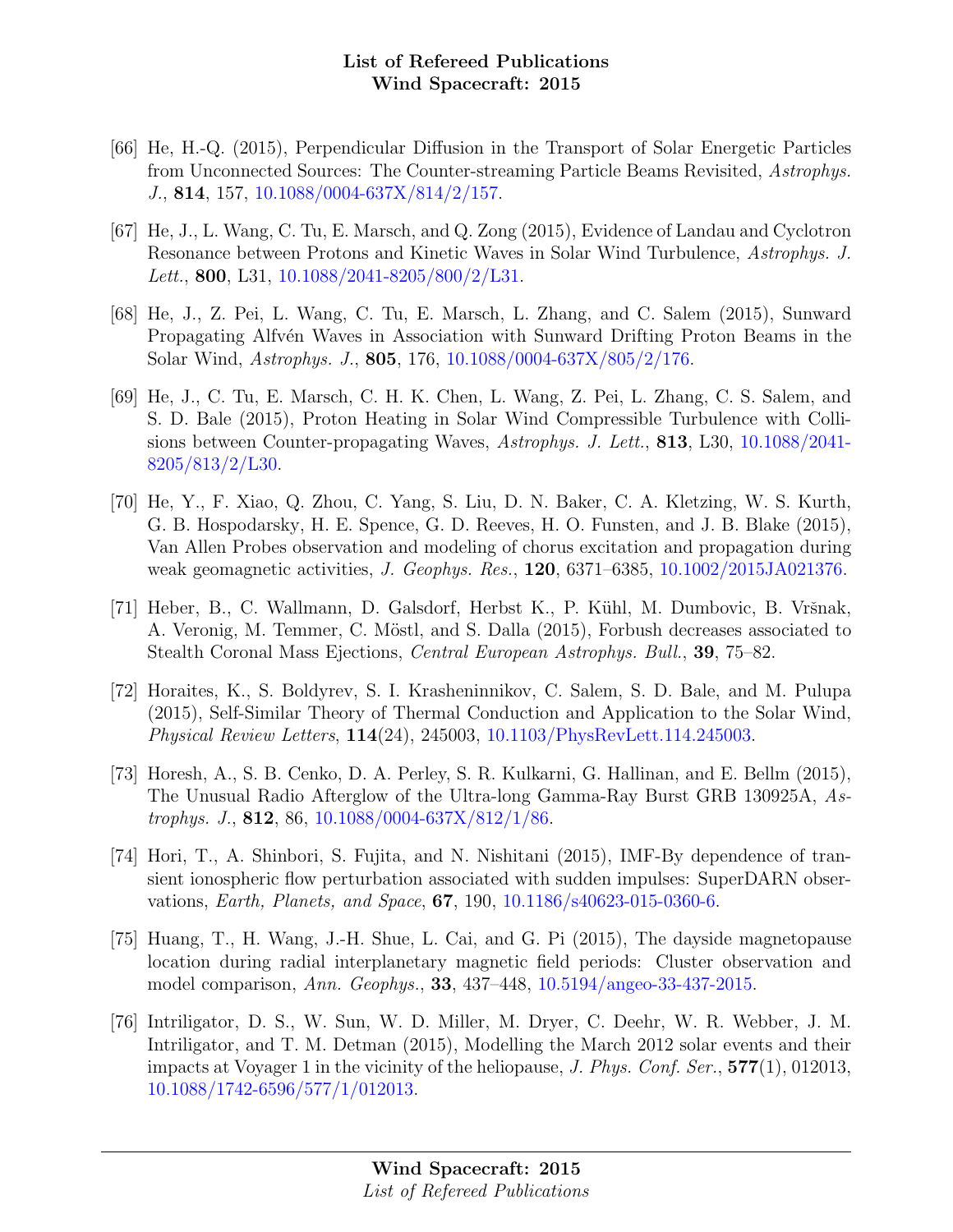- [66] He, H.-Q. (2015), Perpendicular Diffusion in the Transport of Solar Energetic Particles from Unconnected Sources: The Counter-streaming Particle Beams Revisited, Astrophys. J., 814, 157, [10.1088/0004-637X/814/2/157.](http://dx.doi.org/10.1088/0004-637X/814/2/157)
- [67] He, J., L. Wang, C. Tu, E. Marsch, and Q. Zong (2015), Evidence of Landau and Cyclotron Resonance between Protons and Kinetic Waves in Solar Wind Turbulence, Astrophys. J. Lett., 800, L31, [10.1088/2041-8205/800/2/L31.](http://dx.doi.org/10.1088/2041-8205/800/2/L31)
- [68] He, J., Z. Pei, L. Wang, C. Tu, E. Marsch, L. Zhang, and C. Salem (2015), Sunward Propagating Alfv<sup>én</sup> Waves in Association with Sunward Drifting Proton Beams in the Solar Wind, Astrophys. J., 805, 176, [10.1088/0004-637X/805/2/176.](http://dx.doi.org/10.1088/0004-637X/805/2/176)
- [69] He, J., C. Tu, E. Marsch, C. H. K. Chen, L. Wang, Z. Pei, L. Zhang, C. S. Salem, and S. D. Bale (2015), Proton Heating in Solar Wind Compressible Turbulence with Collisions between Counter-propagating Waves, Astrophys. J. Lett., 813, L30, [10.1088/2041-](http://dx.doi.org/10.1088/2041-8205/813/2/L30) [8205/813/2/L30.](http://dx.doi.org/10.1088/2041-8205/813/2/L30)
- [70] He, Y., F. Xiao, Q. Zhou, C. Yang, S. Liu, D. N. Baker, C. A. Kletzing, W. S. Kurth, G. B. Hospodarsky, H. E. Spence, G. D. Reeves, H. O. Funsten, and J. B. Blake (2015), Van Allen Probes observation and modeling of chorus excitation and propagation during weak geomagnetic activities, J. Geophys. Res., 120, 6371–6385, [10.1002/2015JA021376.](http://dx.doi.org/10.1002/2015JA021376)
- [71] Heber, B., C. Wallmann, D. Galsdorf, Herbst K., P. Kühl, M. Dumbovic, B. Vršnak, A. Veronig, M. Temmer, C. Möstl, and S. Dalla (2015), Forbush decreases associated to Stealth Coronal Mass Ejections, Central European Astrophys. Bull., 39, 75–82.
- [72] Horaites, K., S. Boldyrev, S. I. Krasheninnikov, C. Salem, S. D. Bale, and M. Pulupa (2015), Self-Similar Theory of Thermal Conduction and Application to the Solar Wind, Physical Review Letters, 114(24), 245003, [10.1103/PhysRevLett.114.245003.](http://dx.doi.org/10.1103/PhysRevLett.114.245003)
- [73] Horesh, A., S. B. Cenko, D. A. Perley, S. R. Kulkarni, G. Hallinan, and E. Bellm (2015), The Unusual Radio Afterglow of the Ultra-long Gamma-Ray Burst GRB 130925A, As-trophys. J., 812, 86, [10.1088/0004-637X/812/1/86.](http://dx.doi.org/10.1088/0004-637X/812/1/86)
- [74] Hori, T., A. Shinbori, S. Fujita, and N. Nishitani (2015), IMF-By dependence of transient ionospheric flow perturbation associated with sudden impulses: SuperDARN observations, Earth, Planets, and Space, 67, 190, [10.1186/s40623-015-0360-6.](http://dx.doi.org/10.1186/s40623-015-0360-6)
- [75] Huang, T., H. Wang, J.-H. Shue, L. Cai, and G. Pi (2015), The dayside magnetopause location during radial interplanetary magnetic field periods: Cluster observation and model comparison, Ann. Geophys., 33, 437–448, [10.5194/angeo-33-437-2015.](http://dx.doi.org/10.5194/angeo-33-437-2015)
- [76] Intriligator, D. S., W. Sun, W. D. Miller, M. Dryer, C. Deehr, W. R. Webber, J. M. Intriligator, and T. M. Detman (2015), Modelling the March 2012 solar events and their impacts at Voyager 1 in the vicinity of the heliopause, J. Phys. Conf. Ser., 577(1), 012013, [10.1088/1742-6596/577/1/012013.](http://dx.doi.org/10.1088/1742-6596/577/1/012013)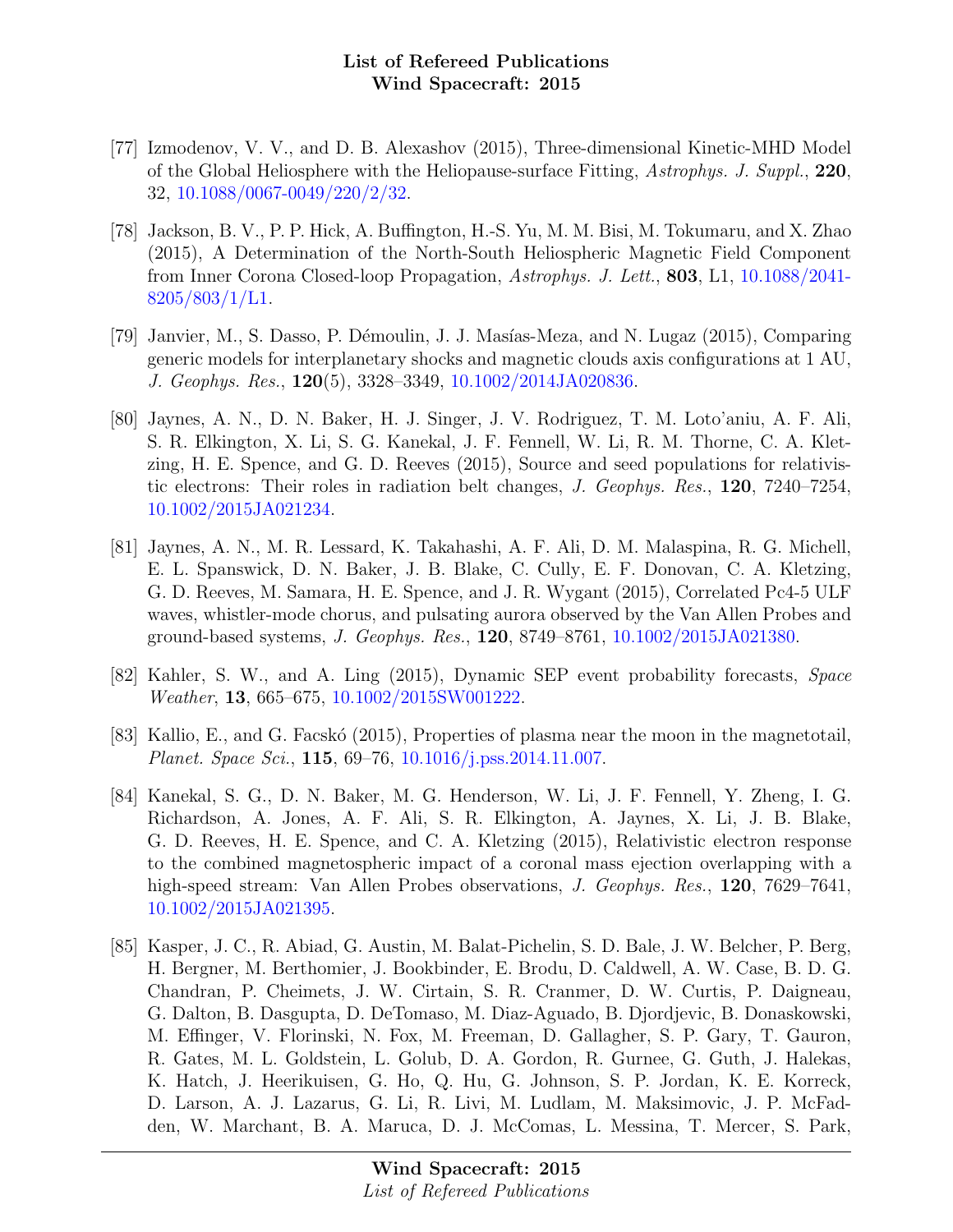- [77] Izmodenov, V. V., and D. B. Alexashov (2015), Three-dimensional Kinetic-MHD Model of the Global Heliosphere with the Heliopause-surface Fitting, Astrophys. J. Suppl., 220, 32, [10.1088/0067-0049/220/2/32.](http://dx.doi.org/10.1088/0067-0049/220/2/32)
- [78] Jackson, B. V., P. P. Hick, A. Buffington, H.-S. Yu, M. M. Bisi, M. Tokumaru, and X. Zhao (2015), A Determination of the North-South Heliospheric Magnetic Field Component from Inner Corona Closed-loop Propagation, Astrophys. J. Lett., 803, L1, [10.1088/2041-](http://dx.doi.org/10.1088/2041-8205/803/1/L1)  $8205/803/1/L1$ .
- [79] Janvier, M., S. Dasso, P. D´emoulin, J. J. Mas´ıas-Meza, and N. Lugaz (2015), Comparing generic models for interplanetary shocks and magnetic clouds axis configurations at 1 AU, J. Geophys. Res., 120(5), 3328–3349, [10.1002/2014JA020836.](http://dx.doi.org/10.1002/2014JA020836)
- [80] Jaynes, A. N., D. N. Baker, H. J. Singer, J. V. Rodriguez, T. M. Loto'aniu, A. F. Ali, S. R. Elkington, X. Li, S. G. Kanekal, J. F. Fennell, W. Li, R. M. Thorne, C. A. Kletzing, H. E. Spence, and G. D. Reeves (2015), Source and seed populations for relativistic electrons: Their roles in radiation belt changes, J. Geophys. Res., 120, 7240–7254, [10.1002/2015JA021234.](http://dx.doi.org/10.1002/2015JA021234)
- [81] Jaynes, A. N., M. R. Lessard, K. Takahashi, A. F. Ali, D. M. Malaspina, R. G. Michell, E. L. Spanswick, D. N. Baker, J. B. Blake, C. Cully, E. F. Donovan, C. A. Kletzing, G. D. Reeves, M. Samara, H. E. Spence, and J. R. Wygant (2015), Correlated Pc4-5 ULF waves, whistler-mode chorus, and pulsating aurora observed by the Van Allen Probes and ground-based systems, J. Geophys. Res., 120, 8749–8761, [10.1002/2015JA021380.](http://dx.doi.org/10.1002/2015JA021380)
- [82] Kahler, S. W., and A. Ling (2015), Dynamic SEP event probability forecasts, Space Weather, 13, 665–675, [10.1002/2015SW001222.](http://dx.doi.org/10.1002/2015SW001222)
- [83] Kallio, E., and G. Facsko (2015), Properties of plasma near the moon in the magnetotail, Planet. Space Sci., 115, 69–76, [10.1016/j.pss.2014.11.007.](http://dx.doi.org/10.1016/j.pss.2014.11.007)
- [84] Kanekal, S. G., D. N. Baker, M. G. Henderson, W. Li, J. F. Fennell, Y. Zheng, I. G. Richardson, A. Jones, A. F. Ali, S. R. Elkington, A. Jaynes, X. Li, J. B. Blake, G. D. Reeves, H. E. Spence, and C. A. Kletzing (2015), Relativistic electron response to the combined magnetospheric impact of a coronal mass ejection overlapping with a high-speed stream: Van Allen Probes observations, J. Geophys. Res., 120, 7629–7641, [10.1002/2015JA021395.](http://dx.doi.org/10.1002/2015JA021395)
- [85] Kasper, J. C., R. Abiad, G. Austin, M. Balat-Pichelin, S. D. Bale, J. W. Belcher, P. Berg, H. Bergner, M. Berthomier, J. Bookbinder, E. Brodu, D. Caldwell, A. W. Case, B. D. G. Chandran, P. Cheimets, J. W. Cirtain, S. R. Cranmer, D. W. Curtis, P. Daigneau, G. Dalton, B. Dasgupta, D. DeTomaso, M. Diaz-Aguado, B. Djordjevic, B. Donaskowski, M. Effinger, V. Florinski, N. Fox, M. Freeman, D. Gallagher, S. P. Gary, T. Gauron, R. Gates, M. L. Goldstein, L. Golub, D. A. Gordon, R. Gurnee, G. Guth, J. Halekas, K. Hatch, J. Heerikuisen, G. Ho, Q. Hu, G. Johnson, S. P. Jordan, K. E. Korreck, D. Larson, A. J. Lazarus, G. Li, R. Livi, M. Ludlam, M. Maksimovic, J. P. McFadden, W. Marchant, B. A. Maruca, D. J. McComas, L. Messina, T. Mercer, S. Park,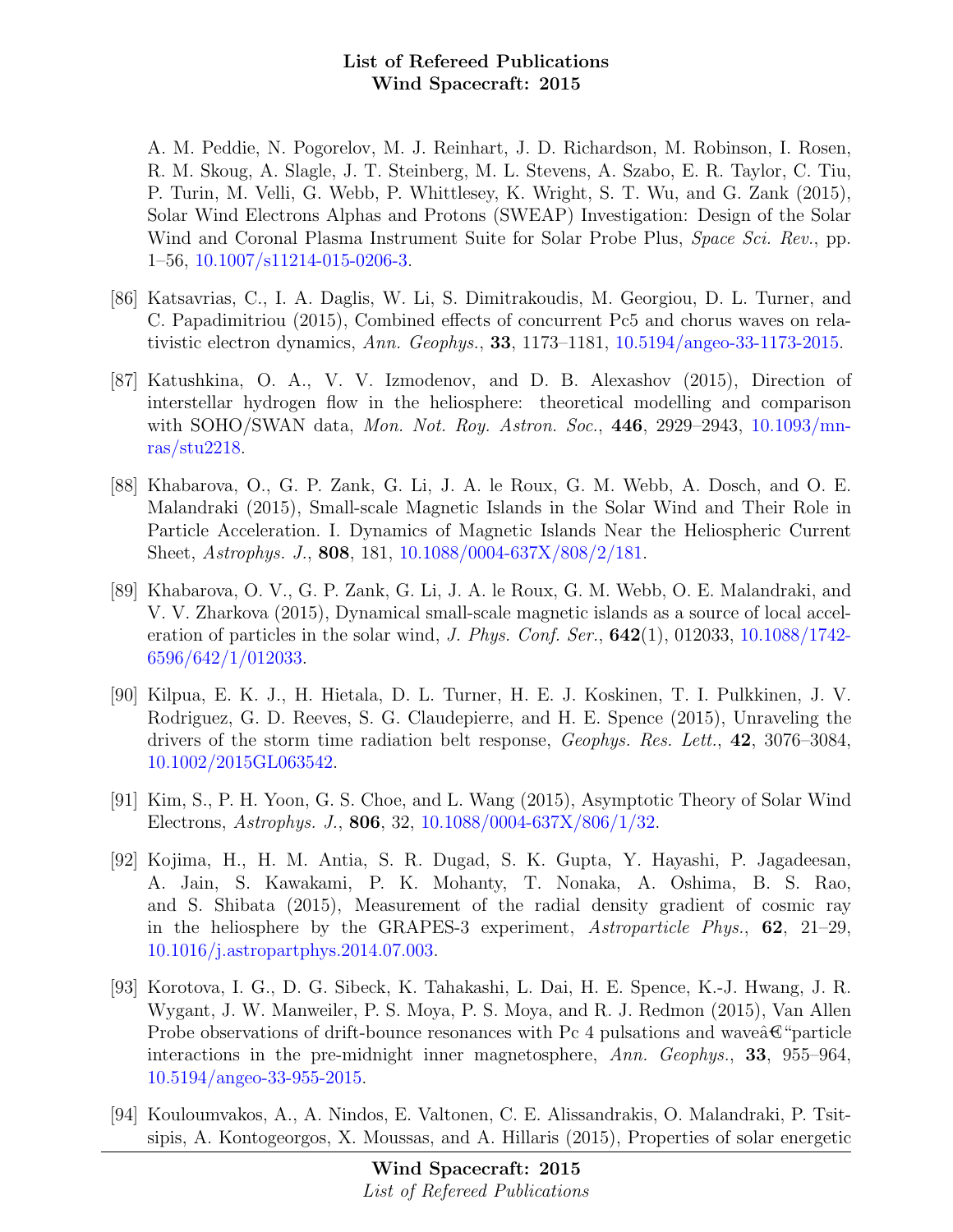A. M. Peddie, N. Pogorelov, M. J. Reinhart, J. D. Richardson, M. Robinson, I. Rosen, R. M. Skoug, A. Slagle, J. T. Steinberg, M. L. Stevens, A. Szabo, E. R. Taylor, C. Tiu, P. Turin, M. Velli, G. Webb, P. Whittlesey, K. Wright, S. T. Wu, and G. Zank (2015), Solar Wind Electrons Alphas and Protons (SWEAP) Investigation: Design of the Solar Wind and Coronal Plasma Instrument Suite for Solar Probe Plus, Space Sci. Rev., pp. 1–56, [10.1007/s11214-015-0206-3.](http://dx.doi.org/10.1007/s11214-015-0206-3)

- [86] Katsavrias, C., I. A. Daglis, W. Li, S. Dimitrakoudis, M. Georgiou, D. L. Turner, and C. Papadimitriou (2015), Combined effects of concurrent Pc5 and chorus waves on relativistic electron dynamics, Ann. Geophys., 33, 1173–1181, [10.5194/angeo-33-1173-2015.](http://dx.doi.org/10.5194/angeo-33-1173-2015)
- [87] Katushkina, O. A., V. V. Izmodenov, and D. B. Alexashov (2015), Direction of interstellar hydrogen flow in the heliosphere: theoretical modelling and comparison with SOHO/SWAN data, *Mon. Not. Roy. Astron. Soc.*, 446, 2929–2943, [10.1093/mn](http://dx.doi.org/10.1093/mnras/stu2218)[ras/stu2218.](http://dx.doi.org/10.1093/mnras/stu2218)
- [88] Khabarova, O., G. P. Zank, G. Li, J. A. le Roux, G. M. Webb, A. Dosch, and O. E. Malandraki (2015), Small-scale Magnetic Islands in the Solar Wind and Their Role in Particle Acceleration. I. Dynamics of Magnetic Islands Near the Heliospheric Current Sheet, Astrophys. J., 808, 181, [10.1088/0004-637X/808/2/181.](http://dx.doi.org/10.1088/0004-637X/808/2/181)
- [89] Khabarova, O. V., G. P. Zank, G. Li, J. A. le Roux, G. M. Webb, O. E. Malandraki, and V. V. Zharkova (2015), Dynamical small-scale magnetic islands as a source of local acceleration of particles in the solar wind, *J. Phys. Conf. Ser.*,  $642(1)$ ,  $012033$ ,  $10.1088/1742$ -[6596/642/1/012033.](http://dx.doi.org/10.1088/1742-6596/642/1/012033)
- [90] Kilpua, E. K. J., H. Hietala, D. L. Turner, H. E. J. Koskinen, T. I. Pulkkinen, J. V. Rodriguez, G. D. Reeves, S. G. Claudepierre, and H. E. Spence (2015), Unraveling the drivers of the storm time radiation belt response, Geophys. Res. Lett., 42, 3076–3084, [10.1002/2015GL063542.](http://dx.doi.org/10.1002/2015GL063542)
- [91] Kim, S., P. H. Yoon, G. S. Choe, and L. Wang (2015), Asymptotic Theory of Solar Wind Electrons, Astrophys. J., 806, 32, [10.1088/0004-637X/806/1/32.](http://dx.doi.org/10.1088/0004-637X/806/1/32)
- [92] Kojima, H., H. M. Antia, S. R. Dugad, S. K. Gupta, Y. Hayashi, P. Jagadeesan, A. Jain, S. Kawakami, P. K. Mohanty, T. Nonaka, A. Oshima, B. S. Rao, and S. Shibata (2015), Measurement of the radial density gradient of cosmic ray in the heliosphere by the GRAPES-3 experiment, Astroparticle Phys.,  $62$ ,  $21-29$ , [10.1016/j.astropartphys.2014.07.003.](http://dx.doi.org/10.1016/j.astropartphys.2014.07.003)
- [93] Korotova, I. G., D. G. Sibeck, K. Tahakashi, L. Dai, H. E. Spence, K.-J. Hwang, J. R. Wygant, J. W. Manweiler, P. S. Moya, P. S. Moya, and R. J. Redmon (2015), Van Allen Probe observations of drift-bounce resonances with Pc 4 pulsations and wave $\hat{\mathbf{\alpha}}^{\alpha}$ "particle interactions in the pre-midnight inner magnetosphere, Ann. Geophys., 33, 955–964, [10.5194/angeo-33-955-2015.](http://dx.doi.org/10.5194/angeo-33-955-2015)
- [94] Kouloumvakos, A., A. Nindos, E. Valtonen, C. E. Alissandrakis, O. Malandraki, P. Tsitsipis, A. Kontogeorgos, X. Moussas, and A. Hillaris (2015), Properties of solar energetic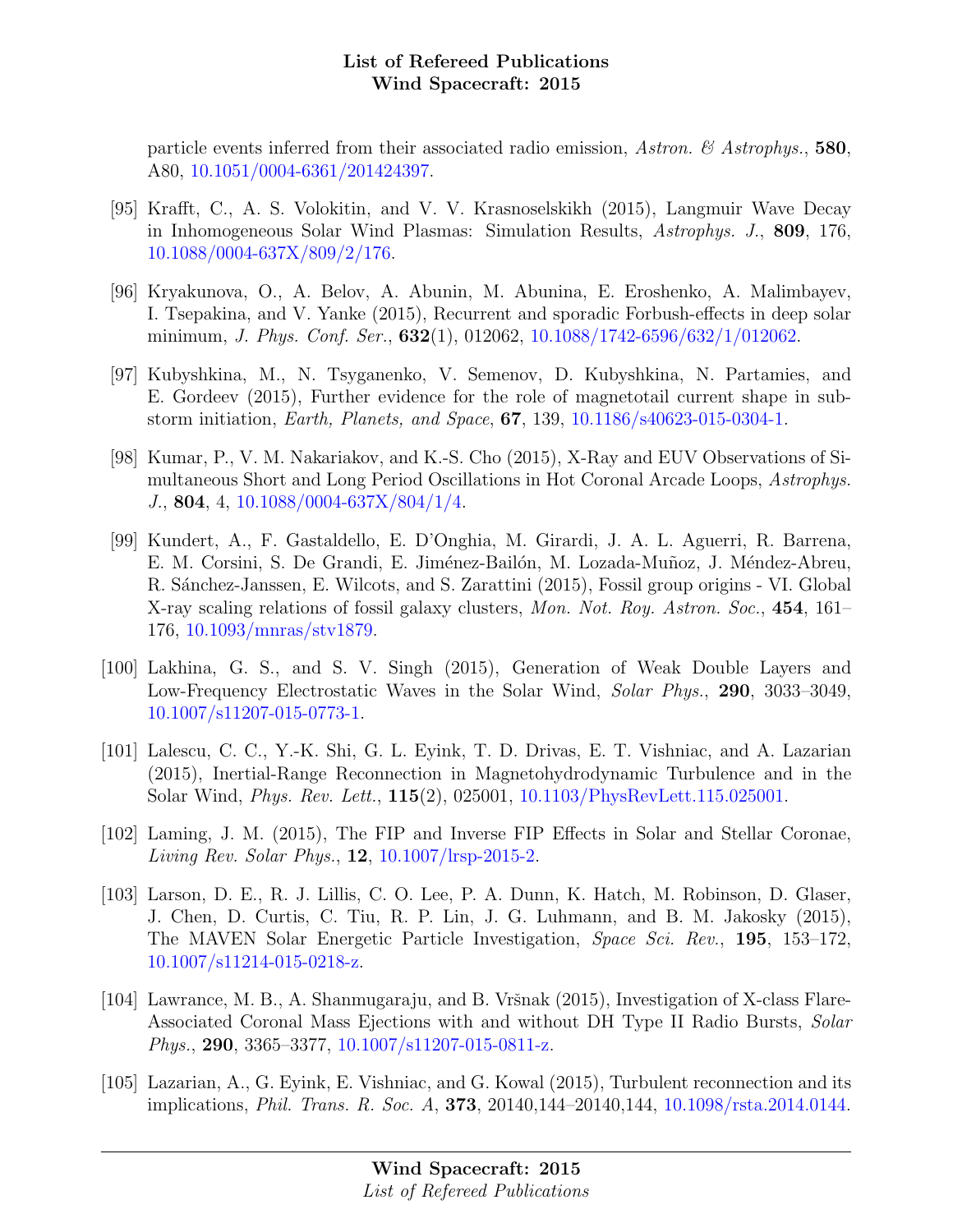particle events inferred from their associated radio emission, Astron. & Astrophys., 580, A80, [10.1051/0004-6361/201424397.](http://dx.doi.org/10.1051/0004-6361/201424397)

- [95] Krafft, C., A. S. Volokitin, and V. V. Krasnoselskikh (2015), Langmuir Wave Decay in Inhomogeneous Solar Wind Plasmas: Simulation Results, Astrophys. J., 809, 176, [10.1088/0004-637X/809/2/176.](http://dx.doi.org/10.1088/0004-637X/809/2/176)
- [96] Kryakunova, O., A. Belov, A. Abunin, M. Abunina, E. Eroshenko, A. Malimbayev, I. Tsepakina, and V. Yanke (2015), Recurrent and sporadic Forbush-effects in deep solar minimum, *J. Phys. Conf. Ser.*,  $632(1)$ , 012062, [10.1088/1742-6596/632/1/012062.](http://dx.doi.org/10.1088/1742-6596/632/1/012062)
- [97] Kubyshkina, M., N. Tsyganenko, V. Semenov, D. Kubyshkina, N. Partamies, and E. Gordeev (2015), Further evidence for the role of magnetotail current shape in substorm initiation, Earth, Planets, and Space, 67, 139, [10.1186/s40623-015-0304-1.](http://dx.doi.org/10.1186/s40623-015-0304-1)
- [98] Kumar, P., V. M. Nakariakov, and K.-S. Cho (2015), X-Ray and EUV Observations of Simultaneous Short and Long Period Oscillations in Hot Coronal Arcade Loops, Astrophys. J., 804, 4, [10.1088/0004-637X/804/1/4.](http://dx.doi.org/10.1088/0004-637X/804/1/4)
- [99] Kundert, A., F. Gastaldello, E. D'Onghia, M. Girardi, J. A. L. Aguerri, R. Barrena, E. M. Corsini, S. De Grandi, E. Jiménez-Bailón, M. Lozada-Muñoz, J. Méndez-Abreu, R. Sánchez-Janssen, E. Wilcots, and S. Zarattini (2015), Fossil group origins - VI. Global X-ray scaling relations of fossil galaxy clusters, Mon. Not. Roy. Astron. Soc., 454, 161– 176, [10.1093/mnras/stv1879.](http://dx.doi.org/10.1093/mnras/stv1879)
- [100] Lakhina, G. S., and S. V. Singh (2015), Generation of Weak Double Layers and Low-Frequency Electrostatic Waves in the Solar Wind, Solar Phys., 290, 3033–3049, [10.1007/s11207-015-0773-1.](http://dx.doi.org/10.1007/s11207-015-0773-1)
- [101] Lalescu, C. C., Y.-K. Shi, G. L. Eyink, T. D. Drivas, E. T. Vishniac, and A. Lazarian (2015), Inertial-Range Reconnection in Magnetohydrodynamic Turbulence and in the Solar Wind, Phys. Rev. Lett., 115(2), 025001, [10.1103/PhysRevLett.115.025001.](http://dx.doi.org/10.1103/PhysRevLett.115.025001)
- [102] Laming, J. M. (2015), The FIP and Inverse FIP Effects in Solar and Stellar Coronae, Living Rev. Solar Phys., 12, [10.1007/lrsp-2015-2.](http://dx.doi.org/10.1007/lrsp-2015-2)
- [103] Larson, D. E., R. J. Lillis, C. O. Lee, P. A. Dunn, K. Hatch, M. Robinson, D. Glaser, J. Chen, D. Curtis, C. Tiu, R. P. Lin, J. G. Luhmann, and B. M. Jakosky (2015), The MAVEN Solar Energetic Particle Investigation, Space Sci. Rev., 195, 153–172, [10.1007/s11214-015-0218-z.](http://dx.doi.org/10.1007/s11214-015-0218-z)
- [104] Lawrance, M. B., A. Shanmugaraju, and B. Vršnak (2015), Investigation of X-class Flare-Associated Coronal Mass Ejections with and without DH Type II Radio Bursts, Solar Phys., 290, 3365–3377, [10.1007/s11207-015-0811-z.](http://dx.doi.org/10.1007/s11207-015-0811-z)
- [105] Lazarian, A., G. Eyink, E. Vishniac, and G. Kowal (2015), Turbulent reconnection and its implications, Phil. Trans. R. Soc. A, 373, 20140,144–20140,144, [10.1098/rsta.2014.0144.](http://dx.doi.org/10.1098/rsta.2014.0144)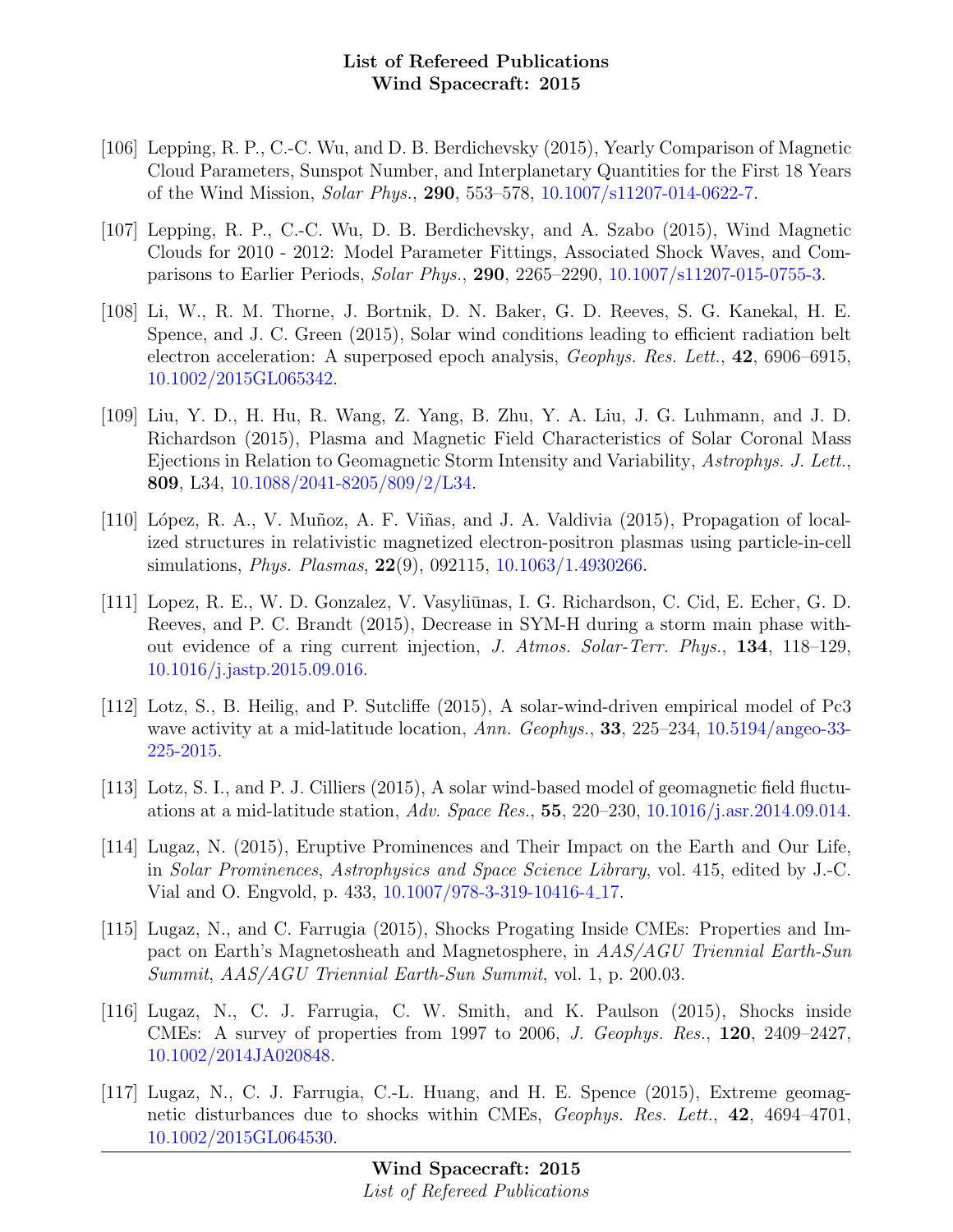- [106] Lepping, R. P., C.-C. Wu, and D. B. Berdichevsky (2015), Yearly Comparison of Magnetic Cloud Parameters, Sunspot Number, and Interplanetary Quantities for the First 18 Years of the Wind Mission, Solar Phys., 290, 553–578, [10.1007/s11207-014-0622-7.](http://dx.doi.org/10.1007/s11207-014-0622-7)
- [107] Lepping, R. P., C.-C. Wu, D. B. Berdichevsky, and A. Szabo (2015), Wind Magnetic Clouds for 2010 - 2012: Model Parameter Fittings, Associated Shock Waves, and Comparisons to Earlier Periods, Solar Phys., 290, 2265–2290, [10.1007/s11207-015-0755-3.](http://dx.doi.org/10.1007/s11207-015-0755-3)
- [108] Li, W., R. M. Thorne, J. Bortnik, D. N. Baker, G. D. Reeves, S. G. Kanekal, H. E. Spence, and J. C. Green (2015), Solar wind conditions leading to efficient radiation belt electron acceleration: A superposed epoch analysis, *Geophys. Res. Lett.*, **42**, 6906–6915, [10.1002/2015GL065342.](http://dx.doi.org/10.1002/2015GL065342)
- [109] Liu, Y. D., H. Hu, R. Wang, Z. Yang, B. Zhu, Y. A. Liu, J. G. Luhmann, and J. D. Richardson (2015), Plasma and Magnetic Field Characteristics of Solar Coronal Mass Ejections in Relation to Geomagnetic Storm Intensity and Variability, Astrophys. J. Lett., 809, L34, [10.1088/2041-8205/809/2/L34.](http://dx.doi.org/10.1088/2041-8205/809/2/L34)
- [110] López, R. A., V. Muñoz, A. F. Viñas, and J. A. Valdivia (2015), Propagation of localized structures in relativistic magnetized electron-positron plasmas using particle-in-cell simulations, Phys. Plasmas, 22(9), 092115, [10.1063/1.4930266.](http://dx.doi.org/10.1063/1.4930266)
- [111] Lopez, R. E., W. D. Gonzalez, V. Vasyliūnas, I. G. Richardson, C. Cid, E. Echer, G. D. Reeves, and P. C. Brandt (2015), Decrease in SYM-H during a storm main phase without evidence of a ring current injection, J. Atmos. Solar-Terr. Phys., 134, 118–129, [10.1016/j.jastp.2015.09.016.](http://dx.doi.org/10.1016/j.jastp.2015.09.016)
- [112] Lotz, S., B. Heilig, and P. Sutcliffe (2015), A solar-wind-driven empirical model of Pc3 wave activity at a mid-latitude location, Ann. Geophys., 33, 225–234, [10.5194/angeo-33-](http://dx.doi.org/10.5194/angeo-33-225-2015) [225-2015.](http://dx.doi.org/10.5194/angeo-33-225-2015)
- [113] Lotz, S. I., and P. J. Cilliers (2015), A solar wind-based model of geomagnetic field fluctu-ations at a mid-latitude station, Adv. Space Res., 55, 220–230, [10.1016/j.asr.2014.09.014.](http://dx.doi.org/10.1016/j.asr.2014.09.014)
- [114] Lugaz, N. (2015), Eruptive Prominences and Their Impact on the Earth and Our Life, in Solar Prominences, Astrophysics and Space Science Library, vol. 415, edited by J.-C. Vial and O. Engvold, p. 433, [10.1007/978-3-319-10416-4](http://dx.doi.org/10.1007/978-3-319-10416-4_17) 17.
- [115] Lugaz, N., and C. Farrugia (2015), Shocks Progating Inside CMEs: Properties and Impact on Earth's Magnetosheath and Magnetosphere, in AAS/AGU Triennial Earth-Sun Summit, AAS/AGU Triennial Earth-Sun Summit, vol. 1, p. 200.03.
- [116] Lugaz, N., C. J. Farrugia, C. W. Smith, and K. Paulson (2015), Shocks inside CMEs: A survey of properties from 1997 to 2006, J. Geophys. Res., 120, 2409–2427, [10.1002/2014JA020848.](http://dx.doi.org/10.1002/2014JA020848)
- [117] Lugaz, N., C. J. Farrugia, C.-L. Huang, and H. E. Spence (2015), Extreme geomagnetic disturbances due to shocks within CMEs, *Geophys. Res. Lett.*, **42**, 4694–4701, [10.1002/2015GL064530.](http://dx.doi.org/10.1002/2015GL064530)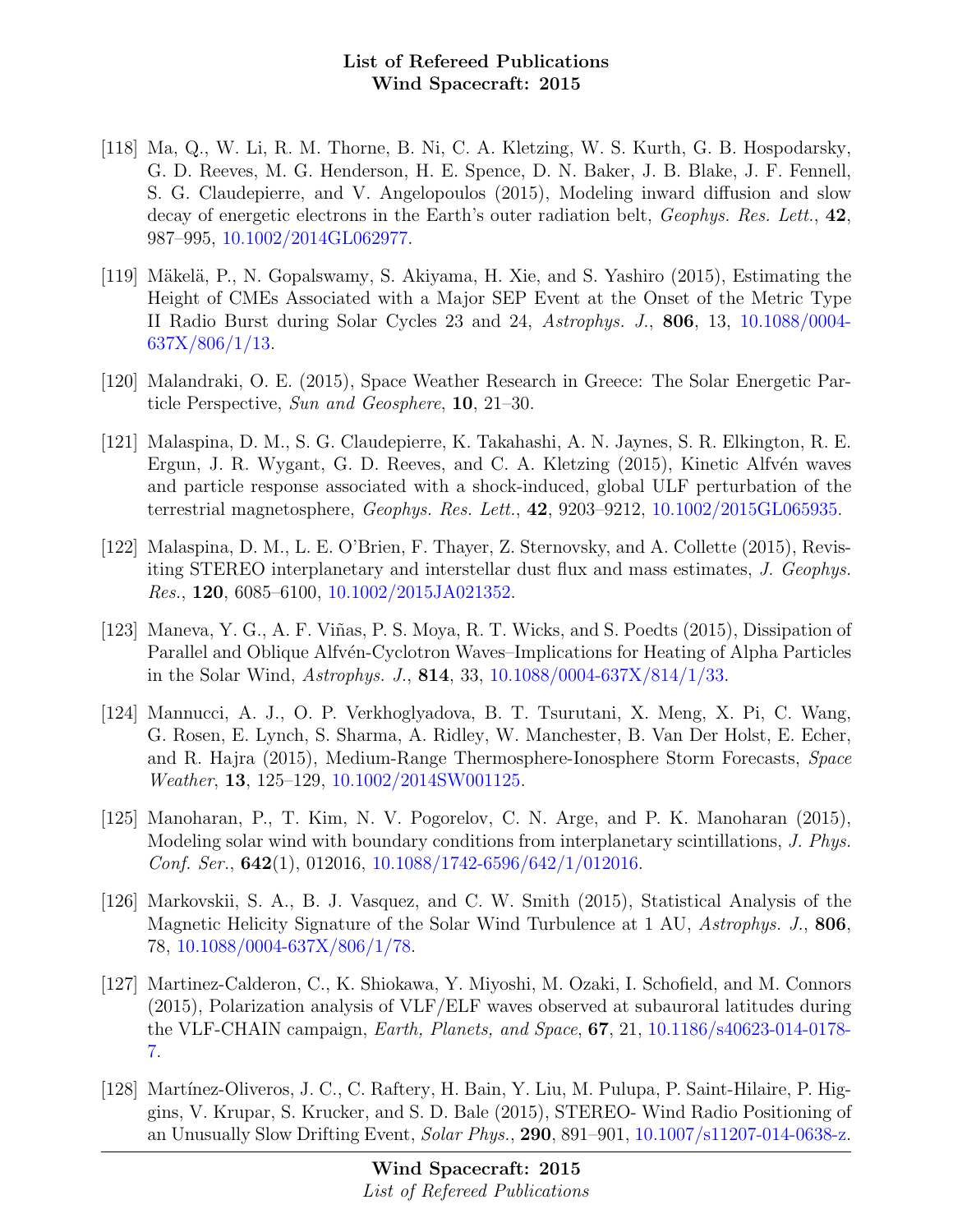- [118] Ma, Q., W. Li, R. M. Thorne, B. Ni, C. A. Kletzing, W. S. Kurth, G. B. Hospodarsky, G. D. Reeves, M. G. Henderson, H. E. Spence, D. N. Baker, J. B. Blake, J. F. Fennell, S. G. Claudepierre, and V. Angelopoulos (2015), Modeling inward diffusion and slow decay of energetic electrons in the Earth's outer radiation belt, *Geophys. Res. Lett.*, 42. 987–995, [10.1002/2014GL062977.](http://dx.doi.org/10.1002/2014GL062977)
- [119] Mäkelä, P., N. Gopalswamy, S. Akiyama, H. Xie, and S. Yashiro (2015), Estimating the Height of CMEs Associated with a Major SEP Event at the Onset of the Metric Type II Radio Burst during Solar Cycles 23 and 24, Astrophys. J., 806, 13, [10.1088/0004-](http://dx.doi.org/10.1088/0004-637X/806/1/13) [637X/806/1/13.](http://dx.doi.org/10.1088/0004-637X/806/1/13)
- [120] Malandraki, O. E. (2015), Space Weather Research in Greece: The Solar Energetic Particle Perspective, Sun and Geosphere, 10, 21–30.
- [121] Malaspina, D. M., S. G. Claudepierre, K. Takahashi, A. N. Jaynes, S. R. Elkington, R. E. Ergun, J. R. Wygant, G. D. Reeves, and C. A. Kletzing (2015), Kinetic Alfvén waves and particle response associated with a shock-induced, global ULF perturbation of the terrestrial magnetosphere, Geophys. Res. Lett., 42, 9203–9212, [10.1002/2015GL065935.](http://dx.doi.org/10.1002/2015GL065935)
- [122] Malaspina, D. M., L. E. O'Brien, F. Thayer, Z. Sternovsky, and A. Collette (2015), Revisiting STEREO interplanetary and interstellar dust flux and mass estimates, J. Geophys. Res., 120, 6085–6100, [10.1002/2015JA021352.](http://dx.doi.org/10.1002/2015JA021352)
- [123] Maneva, Y. G., A. F. Viñas, P. S. Moya, R. T. Wicks, and S. Poedts (2015), Dissipation of Parallel and Oblique Alfvén-Cyclotron Waves–Implications for Heating of Alpha Particles in the Solar Wind, Astrophys. J., 814, 33, [10.1088/0004-637X/814/1/33.](http://dx.doi.org/10.1088/0004-637X/814/1/33)
- [124] Mannucci, A. J., O. P. Verkhoglyadova, B. T. Tsurutani, X. Meng, X. Pi, C. Wang, G. Rosen, E. Lynch, S. Sharma, A. Ridley, W. Manchester, B. Van Der Holst, E. Echer, and R. Hajra (2015), Medium-Range Thermosphere-Ionosphere Storm Forecasts, Space Weather, 13, 125–129, [10.1002/2014SW001125.](http://dx.doi.org/10.1002/2014SW001125)
- [125] Manoharan, P., T. Kim, N. V. Pogorelov, C. N. Arge, and P. K. Manoharan (2015), Modeling solar wind with boundary conditions from interplanetary scintillations, J. Phys. Conf. Ser.,  $642(1)$ ,  $012016$ ,  $10.1088/1742-6596/642/1/012016$ .
- [126] Markovskii, S. A., B. J. Vasquez, and C. W. Smith (2015), Statistical Analysis of the Magnetic Helicity Signature of the Solar Wind Turbulence at 1 AU, Astrophys. J., 806, 78, [10.1088/0004-637X/806/1/78.](http://dx.doi.org/10.1088/0004-637X/806/1/78)
- [127] Martinez-Calderon, C., K. Shiokawa, Y. Miyoshi, M. Ozaki, I. Schofield, and M. Connors (2015), Polarization analysis of VLF/ELF waves observed at subauroral latitudes during the VLF-CHAIN campaign, Earth, Planets, and Space, 67, 21, [10.1186/s40623-014-0178-](http://dx.doi.org/10.1186/s40623-014-0178-7) [7.](http://dx.doi.org/10.1186/s40623-014-0178-7)
- [128] Martínez-Oliveros, J. C., C. Raftery, H. Bain, Y. Liu, M. Pulupa, P. Saint-Hilaire, P. Higgins, V. Krupar, S. Krucker, and S. D. Bale (2015), STEREO- Wind Radio Positioning of an Unusually Slow Drifting Event, Solar Phys., 290, 891–901, [10.1007/s11207-014-0638-z.](http://dx.doi.org/10.1007/s11207-014-0638-z)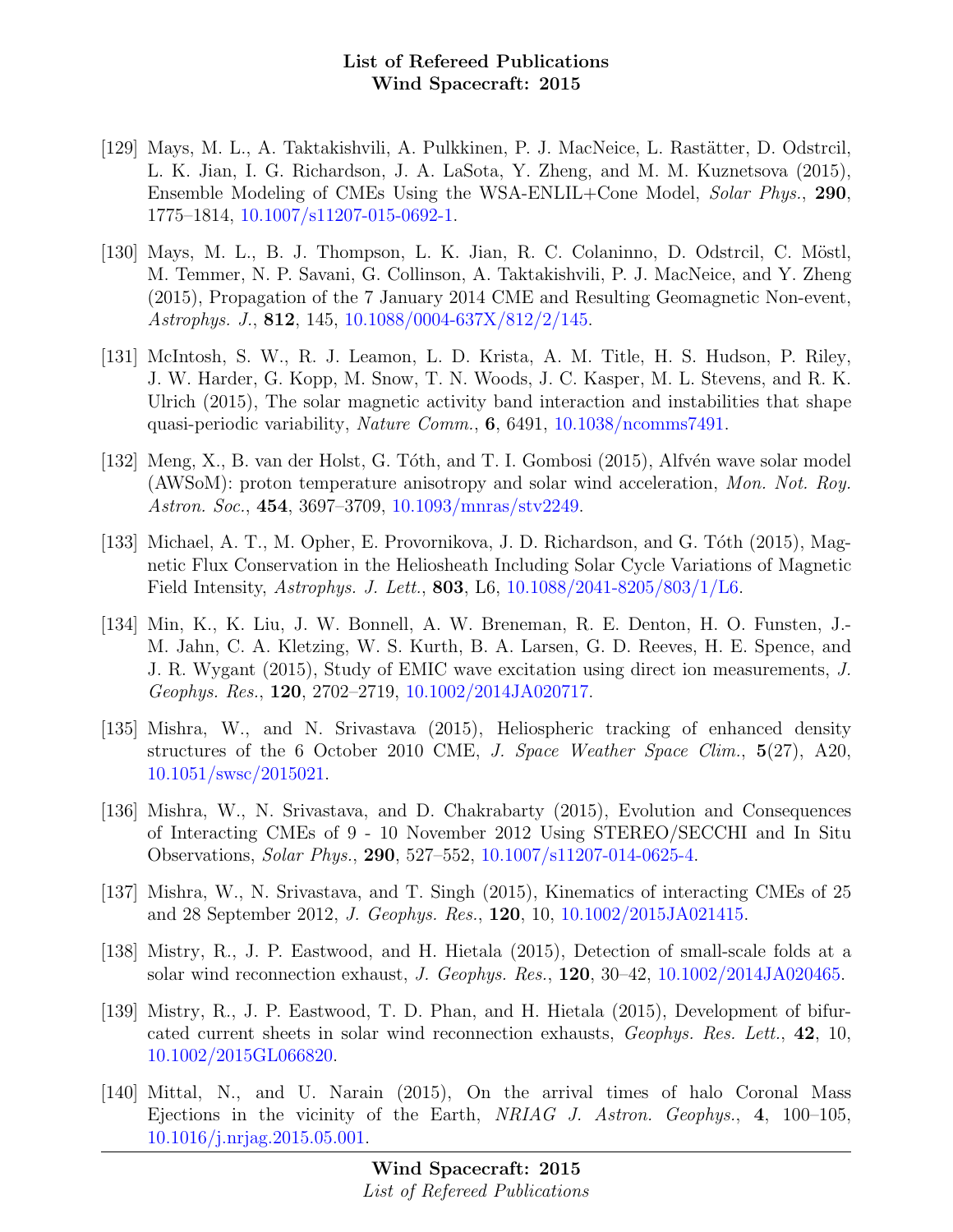- [129] Mays, M. L., A. Taktakishvili, A. Pulkkinen, P. J. MacNeice, L. Rastätter, D. Odstrcil, L. K. Jian, I. G. Richardson, J. A. LaSota, Y. Zheng, and M. M. Kuznetsova (2015), Ensemble Modeling of CMEs Using the WSA-ENLIL+Cone Model, Solar Phys., 290, 1775–1814, [10.1007/s11207-015-0692-1.](http://dx.doi.org/10.1007/s11207-015-0692-1)
- [130] Mays, M. L., B. J. Thompson, L. K. Jian, R. C. Colaninno, D. Odstrcil, C. Möstl, M. Temmer, N. P. Savani, G. Collinson, A. Taktakishvili, P. J. MacNeice, and Y. Zheng (2015), Propagation of the 7 January 2014 CME and Resulting Geomagnetic Non-event, Astrophys. J., 812, 145, [10.1088/0004-637X/812/2/145.](http://dx.doi.org/10.1088/0004-637X/812/2/145)
- [131] McIntosh, S. W., R. J. Leamon, L. D. Krista, A. M. Title, H. S. Hudson, P. Riley, J. W. Harder, G. Kopp, M. Snow, T. N. Woods, J. C. Kasper, M. L. Stevens, and R. K. Ulrich (2015), The solar magnetic activity band interaction and instabilities that shape quasi-periodic variability, Nature Comm., 6, 6491, [10.1038/ncomms7491.](http://dx.doi.org/10.1038/ncomms7491)
- [132] Meng, X., B. van der Holst, G. Tóth, and T. I. Gombosi (2015), Alfvén wave solar model (AWSoM): proton temperature anisotropy and solar wind acceleration, Mon. Not. Roy. Astron. Soc., 454, 3697–3709, [10.1093/mnras/stv2249.](http://dx.doi.org/10.1093/mnras/stv2249)
- [133] Michael, A. T., M. Opher, E. Provornikova, J. D. Richardson, and G. Tóth (2015), Magnetic Flux Conservation in the Heliosheath Including Solar Cycle Variations of Magnetic Field Intensity, Astrophys. J. Lett., 803, L6, [10.1088/2041-8205/803/1/L6.](http://dx.doi.org/10.1088/2041-8205/803/1/L6)
- [134] Min, K., K. Liu, J. W. Bonnell, A. W. Breneman, R. E. Denton, H. O. Funsten, J.- M. Jahn, C. A. Kletzing, W. S. Kurth, B. A. Larsen, G. D. Reeves, H. E. Spence, and J. R. Wygant (2015), Study of EMIC wave excitation using direct ion measurements, J. Geophys. Res., 120, 2702–2719, [10.1002/2014JA020717.](http://dx.doi.org/10.1002/2014JA020717)
- [135] Mishra, W., and N. Srivastava (2015), Heliospheric tracking of enhanced density structures of the 6 October 2010 CME, J. Space Weather Space Clim., 5(27), A20, [10.1051/swsc/2015021.](http://dx.doi.org/10.1051/swsc/2015021)
- [136] Mishra, W., N. Srivastava, and D. Chakrabarty (2015), Evolution and Consequences of Interacting CMEs of 9 - 10 November 2012 Using STEREO/SECCHI and In Situ Observations, Solar Phys., 290, 527–552, [10.1007/s11207-014-0625-4.](http://dx.doi.org/10.1007/s11207-014-0625-4)
- [137] Mishra, W., N. Srivastava, and T. Singh (2015), Kinematics of interacting CMEs of 25 and 28 September 2012, J. Geophys. Res., 120, 10, [10.1002/2015JA021415.](http://dx.doi.org/10.1002/2015JA021415)
- [138] Mistry, R., J. P. Eastwood, and H. Hietala (2015), Detection of small-scale folds at a solar wind reconnection exhaust, J. Geophys. Res., 120, 30–42, [10.1002/2014JA020465.](http://dx.doi.org/10.1002/2014JA020465)
- [139] Mistry, R., J. P. Eastwood, T. D. Phan, and H. Hietala (2015), Development of bifurcated current sheets in solar wind reconnection exhausts, Geophys. Res. Lett., 42, 10, [10.1002/2015GL066820.](http://dx.doi.org/10.1002/2015GL066820)
- [140] Mittal, N., and U. Narain (2015), On the arrival times of halo Coronal Mass Ejections in the vicinity of the Earth, NRIAG J. Astron. Geophys., 4, 100–105, [10.1016/j.nrjag.2015.05.001.](http://dx.doi.org/10.1016/j.nrjag.2015.05.001)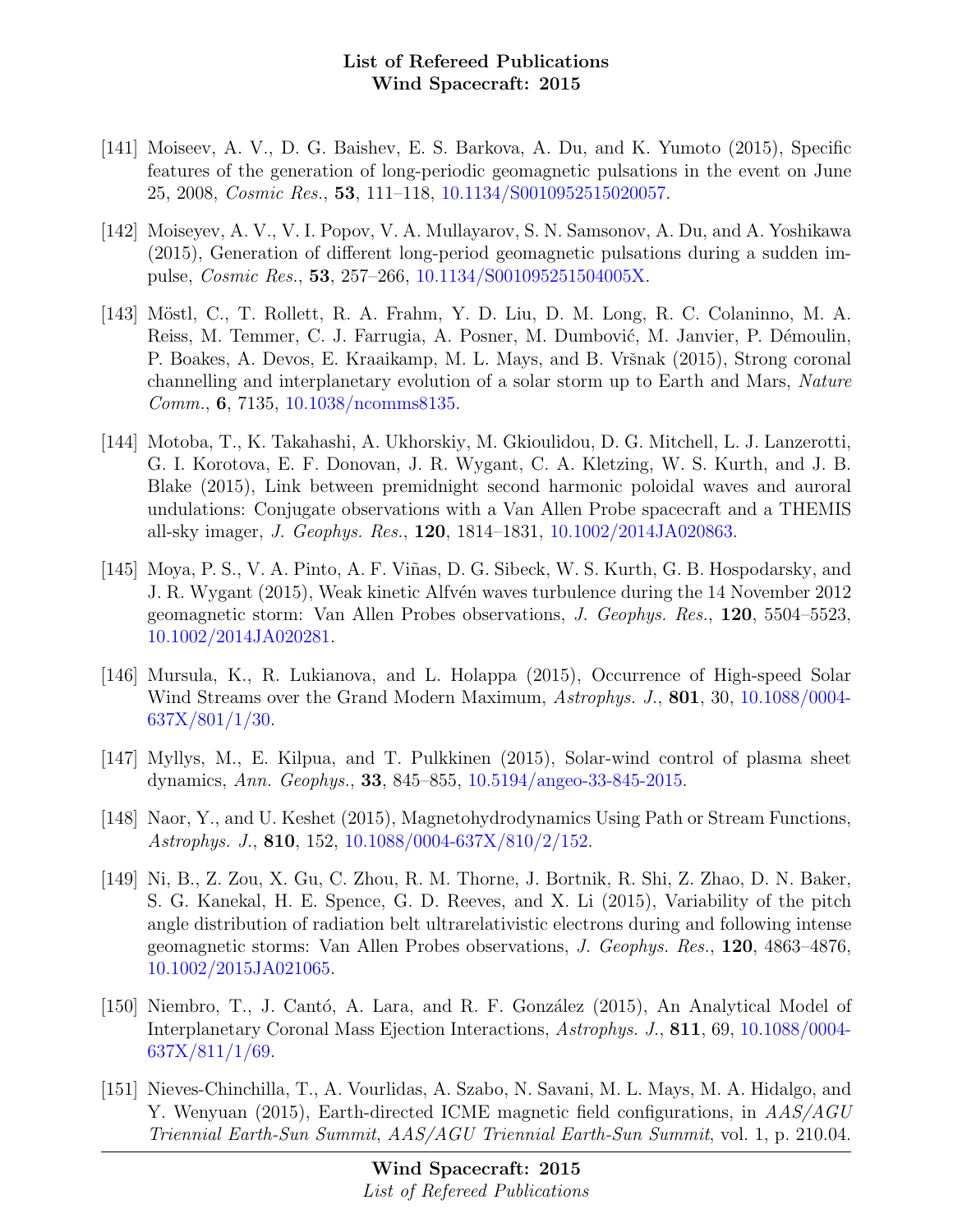- [141] Moiseev, A. V., D. G. Baishev, E. S. Barkova, A. Du, and K. Yumoto (2015), Specific features of the generation of long-periodic geomagnetic pulsations in the event on June 25, 2008, Cosmic Res., 53, 111–118, [10.1134/S0010952515020057.](http://dx.doi.org/10.1134/S0010952515020057)
- [142] Moiseyev, A. V., V. I. Popov, V. A. Mullayarov, S. N. Samsonov, A. Du, and A. Yoshikawa (2015), Generation of different long-period geomagnetic pulsations during a sudden impulse, Cosmic Res., 53, 257–266, [10.1134/S001095251504005X.](http://dx.doi.org/10.1134/S001095251504005X)
- [143] Möstl, C., T. Rollett, R. A. Frahm, Y. D. Liu, D. M. Long, R. C. Colaninno, M. A. Reiss, M. Temmer, C. J. Farrugia, A. Posner, M. Dumbović, M. Janvier, P. Démoulin, P. Boakes, A. Devos, E. Kraaikamp, M. L. Mays, and B. Vršnak (2015), Strong coronal channelling and interplanetary evolution of a solar storm up to Earth and Mars, Nature Comm., 6, 7135, [10.1038/ncomms8135.](http://dx.doi.org/10.1038/ncomms8135)
- [144] Motoba, T., K. Takahashi, A. Ukhorskiy, M. Gkioulidou, D. G. Mitchell, L. J. Lanzerotti, G. I. Korotova, E. F. Donovan, J. R. Wygant, C. A. Kletzing, W. S. Kurth, and J. B. Blake (2015), Link between premidnight second harmonic poloidal waves and auroral undulations: Conjugate observations with a Van Allen Probe spacecraft and a THEMIS all-sky imager, J. Geophys. Res., 120, 1814–1831, [10.1002/2014JA020863.](http://dx.doi.org/10.1002/2014JA020863)
- [145] Moya, P. S., V. A. Pinto, A. F. Viñas, D. G. Sibeck, W. S. Kurth, G. B. Hospodarsky, and J. R. Wygant (2015), Weak kinetic Alfvén waves turbulence during the 14 November 2012 geomagnetic storm: Van Allen Probes observations, J. Geophys. Res., 120, 5504–5523, [10.1002/2014JA020281.](http://dx.doi.org/10.1002/2014JA020281)
- [146] Mursula, K., R. Lukianova, and L. Holappa (2015), Occurrence of High-speed Solar Wind Streams over the Grand Modern Maximum, Astrophys. J., 801, 30, [10.1088/0004-](http://dx.doi.org/10.1088/0004-637X/801/1/30) [637X/801/1/30.](http://dx.doi.org/10.1088/0004-637X/801/1/30)
- [147] Myllys, M., E. Kilpua, and T. Pulkkinen (2015), Solar-wind control of plasma sheet dynamics, Ann. Geophys., 33, 845–855, [10.5194/angeo-33-845-2015.](http://dx.doi.org/10.5194/angeo-33-845-2015)
- [148] Naor, Y., and U. Keshet (2015), Magnetohydrodynamics Using Path or Stream Functions, Astrophys. J., 810, 152, [10.1088/0004-637X/810/2/152.](http://dx.doi.org/10.1088/0004-637X/810/2/152)
- [149] Ni, B., Z. Zou, X. Gu, C. Zhou, R. M. Thorne, J. Bortnik, R. Shi, Z. Zhao, D. N. Baker, S. G. Kanekal, H. E. Spence, G. D. Reeves, and X. Li (2015), Variability of the pitch angle distribution of radiation belt ultrarelativistic electrons during and following intense geomagnetic storms: Van Allen Probes observations, J. Geophys. Res., 120, 4863–4876, [10.1002/2015JA021065.](http://dx.doi.org/10.1002/2015JA021065)
- [150] Niembro, T., J. Cantó, A. Lara, and R. F. González (2015), An Analytical Model of Interplanetary Coronal Mass Ejection Interactions, Astrophys. J., 811, 69, [10.1088/0004-](http://dx.doi.org/10.1088/0004-637X/811/1/69) [637X/811/1/69.](http://dx.doi.org/10.1088/0004-637X/811/1/69)
- [151] Nieves-Chinchilla, T., A. Vourlidas, A. Szabo, N. Savani, M. L. Mays, M. A. Hidalgo, and Y. Wenyuan (2015), Earth-directed ICME magnetic field configurations, in  $AAS/AGU$ Triennial Earth-Sun Summit, AAS/AGU Triennial Earth-Sun Summit, vol. 1, p. 210.04.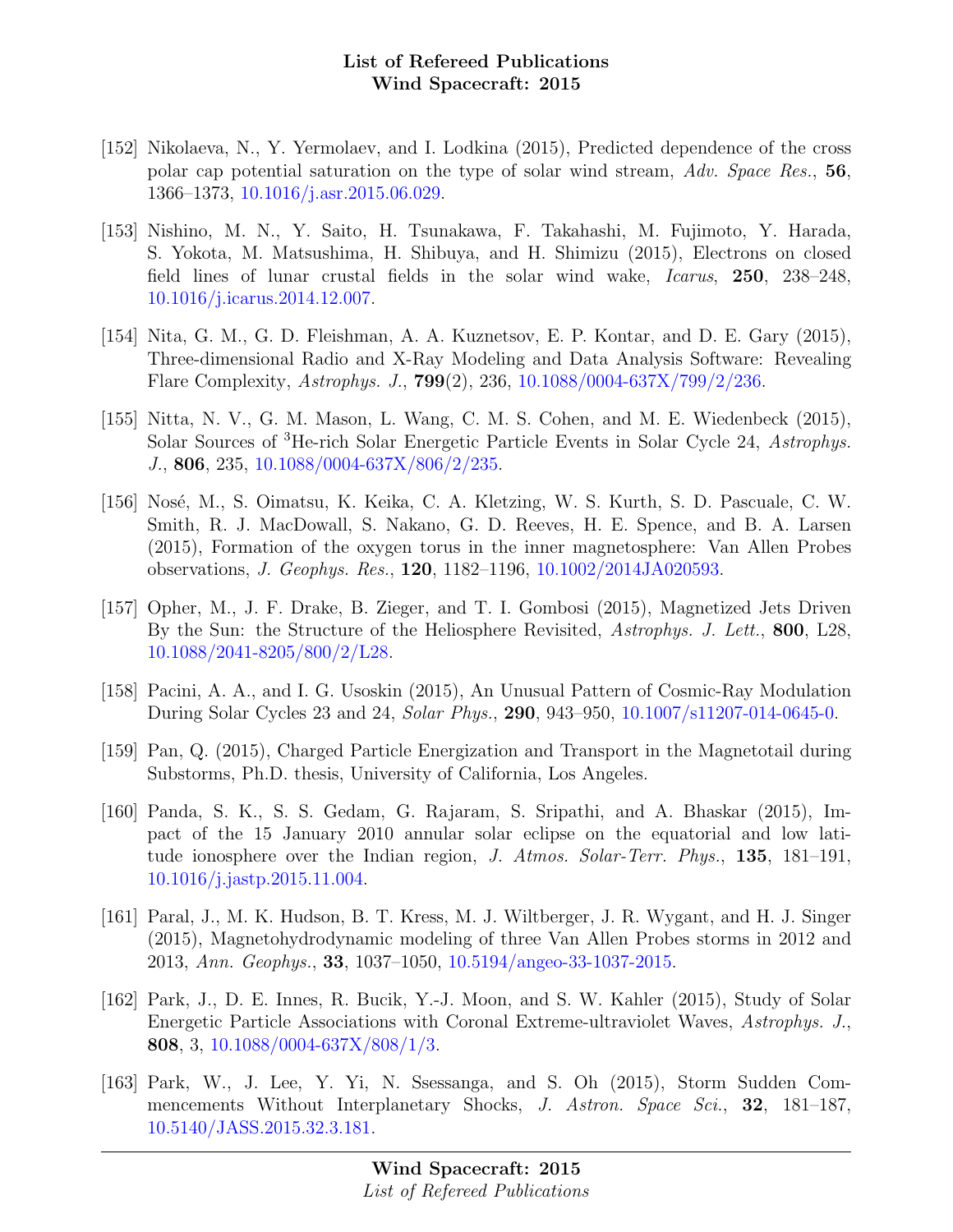- [152] Nikolaeva, N., Y. Yermolaev, and I. Lodkina (2015), Predicted dependence of the cross polar cap potential saturation on the type of solar wind stream, Adv. Space Res., 56, 1366–1373, [10.1016/j.asr.2015.06.029.](http://dx.doi.org/10.1016/j.asr.2015.06.029)
- [153] Nishino, M. N., Y. Saito, H. Tsunakawa, F. Takahashi, M. Fujimoto, Y. Harada, S. Yokota, M. Matsushima, H. Shibuya, and H. Shimizu (2015), Electrons on closed field lines of lunar crustal fields in the solar wind wake, Icarus, 250, 238–248, [10.1016/j.icarus.2014.12.007.](http://dx.doi.org/10.1016/j.icarus.2014.12.007)
- [154] Nita, G. M., G. D. Fleishman, A. A. Kuznetsov, E. P. Kontar, and D. E. Gary (2015), Three-dimensional Radio and X-Ray Modeling and Data Analysis Software: Revealing Flare Complexity, Astrophys. J., 799(2), 236, [10.1088/0004-637X/799/2/236.](http://dx.doi.org/10.1088/0004-637X/799/2/236)
- [155] Nitta, N. V., G. M. Mason, L. Wang, C. M. S. Cohen, and M. E. Wiedenbeck (2015), Solar Sources of <sup>3</sup>He-rich Solar Energetic Particle Events in Solar Cycle 24, Astrophys. J., 806, 235, [10.1088/0004-637X/806/2/235.](http://dx.doi.org/10.1088/0004-637X/806/2/235)
- [156] Nosé, M., S. Oimatsu, K. Keika, C. A. Kletzing, W. S. Kurth, S. D. Pascuale, C. W. Smith, R. J. MacDowall, S. Nakano, G. D. Reeves, H. E. Spence, and B. A. Larsen (2015), Formation of the oxygen torus in the inner magnetosphere: Van Allen Probes observations, J. Geophys. Res., 120, 1182–1196, [10.1002/2014JA020593.](http://dx.doi.org/10.1002/2014JA020593)
- [157] Opher, M., J. F. Drake, B. Zieger, and T. I. Gombosi (2015), Magnetized Jets Driven By the Sun: the Structure of the Heliosphere Revisited, Astrophys. J. Lett., 800, L28, [10.1088/2041-8205/800/2/L28.](http://dx.doi.org/10.1088/2041-8205/800/2/L28)
- [158] Pacini, A. A., and I. G. Usoskin (2015), An Unusual Pattern of Cosmic-Ray Modulation During Solar Cycles 23 and 24, Solar Phys., 290, 943–950, [10.1007/s11207-014-0645-0.](http://dx.doi.org/10.1007/s11207-014-0645-0)
- [159] Pan, Q. (2015), Charged Particle Energization and Transport in the Magnetotail during Substorms, Ph.D. thesis, University of California, Los Angeles.
- [160] Panda, S. K., S. S. Gedam, G. Rajaram, S. Sripathi, and A. Bhaskar (2015), Impact of the 15 January 2010 annular solar eclipse on the equatorial and low latitude ionosphere over the Indian region, J. Atmos. Solar-Terr. Phys., 135, 181–191, [10.1016/j.jastp.2015.11.004.](http://dx.doi.org/10.1016/j.jastp.2015.11.004)
- [161] Paral, J., M. K. Hudson, B. T. Kress, M. J. Wiltberger, J. R. Wygant, and H. J. Singer (2015), Magnetohydrodynamic modeling of three Van Allen Probes storms in 2012 and 2013, Ann. Geophys., 33, 1037–1050, [10.5194/angeo-33-1037-2015.](http://dx.doi.org/10.5194/angeo-33-1037-2015)
- [162] Park, J., D. E. Innes, R. Bucik, Y.-J. Moon, and S. W. Kahler (2015), Study of Solar Energetic Particle Associations with Coronal Extreme-ultraviolet Waves, Astrophys. J., 808, 3, [10.1088/0004-637X/808/1/3.](http://dx.doi.org/10.1088/0004-637X/808/1/3)
- [163] Park, W., J. Lee, Y. Yi, N. Ssessanga, and S. Oh (2015), Storm Sudden Commencements Without Interplanetary Shocks, J. Astron. Space Sci., 32, 181–187, [10.5140/JASS.2015.32.3.181.](http://dx.doi.org/10.5140/JASS.2015.32.3.181)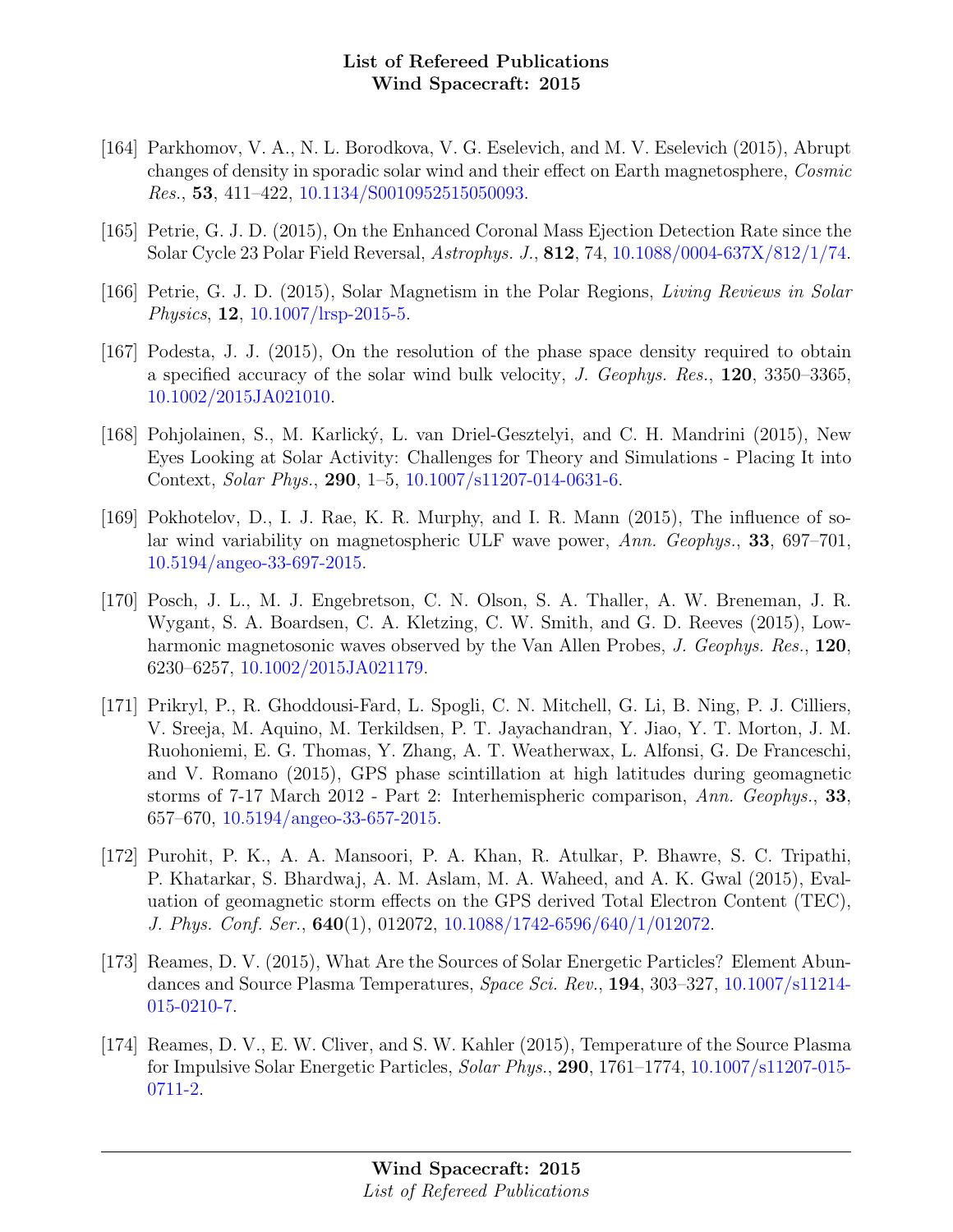- [164] Parkhomov, V. A., N. L. Borodkova, V. G. Eselevich, and M. V. Eselevich (2015), Abrupt changes of density in sporadic solar wind and their effect on Earth magnetosphere, Cosmic Res., 53, 411–422, [10.1134/S0010952515050093.](http://dx.doi.org/10.1134/S0010952515050093)
- [165] Petrie, G. J. D. (2015), On the Enhanced Coronal Mass Ejection Detection Rate since the Solar Cycle 23 Polar Field Reversal, Astrophys. J., 812, 74, [10.1088/0004-637X/812/1/74.](http://dx.doi.org/10.1088/0004-637X/812/1/74)
- [166] Petrie, G. J. D. (2015), Solar Magnetism in the Polar Regions, Living Reviews in Solar Physics, 12, [10.1007/lrsp-2015-5.](http://dx.doi.org/10.1007/lrsp-2015-5)
- [167] Podesta, J. J. (2015), On the resolution of the phase space density required to obtain a specified accuracy of the solar wind bulk velocity, J. Geophys. Res., 120, 3350–3365, [10.1002/2015JA021010.](http://dx.doi.org/10.1002/2015JA021010)
- [168] Pohjolainen, S., M. Karlický, L. van Driel-Gesztelyi, and C. H. Mandrini (2015), New Eyes Looking at Solar Activity: Challenges for Theory and Simulations - Placing It into Context, Solar Phys., 290, 1–5, [10.1007/s11207-014-0631-6.](http://dx.doi.org/10.1007/s11207-014-0631-6)
- [169] Pokhotelov, D., I. J. Rae, K. R. Murphy, and I. R. Mann (2015), The influence of solar wind variability on magnetospheric ULF wave power, Ann. Geophys., 33, 697–701, [10.5194/angeo-33-697-2015.](http://dx.doi.org/10.5194/angeo-33-697-2015)
- [170] Posch, J. L., M. J. Engebretson, C. N. Olson, S. A. Thaller, A. W. Breneman, J. R. Wygant, S. A. Boardsen, C. A. Kletzing, C. W. Smith, and G. D. Reeves (2015), Lowharmonic magnetosonic waves observed by the Van Allen Probes, J. Geophys. Res., 120, 6230–6257, [10.1002/2015JA021179.](http://dx.doi.org/10.1002/2015JA021179)
- [171] Prikryl, P., R. Ghoddousi-Fard, L. Spogli, C. N. Mitchell, G. Li, B. Ning, P. J. Cilliers, V. Sreeja, M. Aquino, M. Terkildsen, P. T. Jayachandran, Y. Jiao, Y. T. Morton, J. M. Ruohoniemi, E. G. Thomas, Y. Zhang, A. T. Weatherwax, L. Alfonsi, G. De Franceschi, and V. Romano (2015), GPS phase scintillation at high latitudes during geomagnetic storms of 7-17 March 2012 - Part 2: Interhemispheric comparison, Ann. Geophys., 33, 657–670, [10.5194/angeo-33-657-2015.](http://dx.doi.org/10.5194/angeo-33-657-2015)
- [172] Purohit, P. K., A. A. Mansoori, P. A. Khan, R. Atulkar, P. Bhawre, S. C. Tripathi, P. Khatarkar, S. Bhardwaj, A. M. Aslam, M. A. Waheed, and A. K. Gwal (2015), Evaluation of geomagnetic storm effects on the GPS derived Total Electron Content (TEC), J. Phys. Conf. Ser., 640(1), 012072, [10.1088/1742-6596/640/1/012072.](http://dx.doi.org/10.1088/1742-6596/640/1/012072)
- [173] Reames, D. V. (2015), What Are the Sources of Solar Energetic Particles? Element Abundances and Source Plasma Temperatures, Space Sci. Rev., 194, 303–327, [10.1007/s11214-](http://dx.doi.org/10.1007/s11214-015-0210-7) [015-0210-7.](http://dx.doi.org/10.1007/s11214-015-0210-7)
- [174] Reames, D. V., E. W. Cliver, and S. W. Kahler (2015), Temperature of the Source Plasma for Impulsive Solar Energetic Particles, Solar Phys., 290, 1761–1774, [10.1007/s11207-015-](http://dx.doi.org/10.1007/s11207-015-0711-2) [0711-2.](http://dx.doi.org/10.1007/s11207-015-0711-2)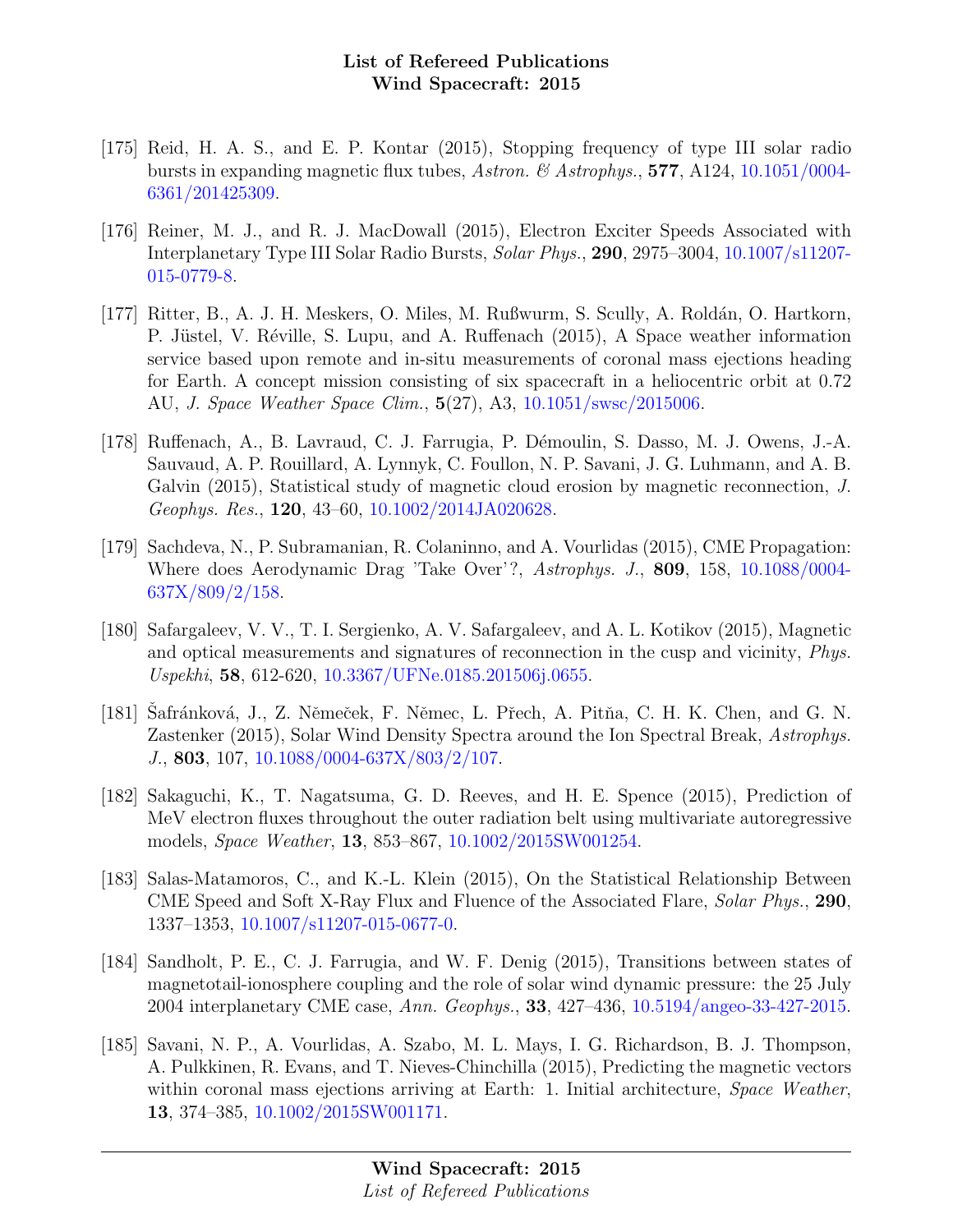- [175] Reid, H. A. S., and E. P. Kontar (2015), Stopping frequency of type III solar radio bursts in expanding magnetic flux tubes, Astron. & Astrophys.,  $577$ , A124, [10.1051/0004-](http://dx.doi.org/10.1051/0004-6361/201425309) [6361/201425309.](http://dx.doi.org/10.1051/0004-6361/201425309)
- [176] Reiner, M. J., and R. J. MacDowall (2015), Electron Exciter Speeds Associated with Interplanetary Type III Solar Radio Bursts, Solar Phys., 290, 2975–3004, [10.1007/s11207-](http://dx.doi.org/10.1007/s11207-015-0779-8) [015-0779-8.](http://dx.doi.org/10.1007/s11207-015-0779-8)
- [177] Ritter, B., A. J. H. Meskers, O. Miles, M. Rußwurm, S. Scully, A. Roldán, O. Hartkorn, P. Jüstel, V. Réville, S. Lupu, and A. Ruffenach (2015), A Space weather information service based upon remote and in-situ measurements of coronal mass ejections heading for Earth. A concept mission consisting of six spacecraft in a heliocentric orbit at 0.72 AU, J. Space Weather Space Clim., 5(27), A3, [10.1051/swsc/2015006.](http://dx.doi.org/10.1051/swsc/2015006)
- [178] Ruffenach, A., B. Lavraud, C. J. Farrugia, P. Démoulin, S. Dasso, M. J. Owens, J.-A. Sauvaud, A. P. Rouillard, A. Lynnyk, C. Foullon, N. P. Savani, J. G. Luhmann, and A. B. Galvin (2015), Statistical study of magnetic cloud erosion by magnetic reconnection, J. Geophys. Res., 120, 43–60, [10.1002/2014JA020628.](http://dx.doi.org/10.1002/2014JA020628)
- [179] Sachdeva, N., P. Subramanian, R. Colaninno, and A. Vourlidas (2015), CME Propagation: Where does Aerodynamic Drag 'Take Over'?, Astrophys. J., 809, 158, [10.1088/0004-](http://dx.doi.org/10.1088/0004-637X/809/2/158) [637X/809/2/158.](http://dx.doi.org/10.1088/0004-637X/809/2/158)
- [180] Safargaleev, V. V., T. I. Sergienko, A. V. Safargaleev, and A. L. Kotikov (2015), Magnetic and optical measurements and signatures of reconnection in the cusp and vicinity, Phys. Uspekhi, 58, 612-620, [10.3367/UFNe.0185.201506j.0655.](http://dx.doi.org/10.3367/UFNe.0185.201506j.0655)
- [181] Safránková, J., Z. Němeček, F. Němec, L. Přech, A. Pitňa, C. H. K. Chen, and G. N. Zastenker (2015), Solar Wind Density Spectra around the Ion Spectral Break, Astrophys. J., 803, 107, [10.1088/0004-637X/803/2/107.](http://dx.doi.org/10.1088/0004-637X/803/2/107)
- [182] Sakaguchi, K., T. Nagatsuma, G. D. Reeves, and H. E. Spence (2015), Prediction of MeV electron fluxes throughout the outer radiation belt using multivariate autoregressive models, Space Weather, 13, 853–867, [10.1002/2015SW001254.](http://dx.doi.org/10.1002/2015SW001254)
- [183] Salas-Matamoros, C., and K.-L. Klein (2015), On the Statistical Relationship Between CME Speed and Soft X-Ray Flux and Fluence of the Associated Flare, Solar Phys., 290, 1337–1353, [10.1007/s11207-015-0677-0.](http://dx.doi.org/10.1007/s11207-015-0677-0)
- [184] Sandholt, P. E., C. J. Farrugia, and W. F. Denig (2015), Transitions between states of magnetotail-ionosphere coupling and the role of solar wind dynamic pressure: the 25 July 2004 interplanetary CME case, Ann. Geophys., 33, 427–436, [10.5194/angeo-33-427-2015.](http://dx.doi.org/10.5194/angeo-33-427-2015)
- [185] Savani, N. P., A. Vourlidas, A. Szabo, M. L. Mays, I. G. Richardson, B. J. Thompson, A. Pulkkinen, R. Evans, and T. Nieves-Chinchilla (2015), Predicting the magnetic vectors within coronal mass ejections arriving at Earth: 1. Initial architecture, *Space Weather*, 13, 374–385, [10.1002/2015SW001171.](http://dx.doi.org/10.1002/2015SW001171)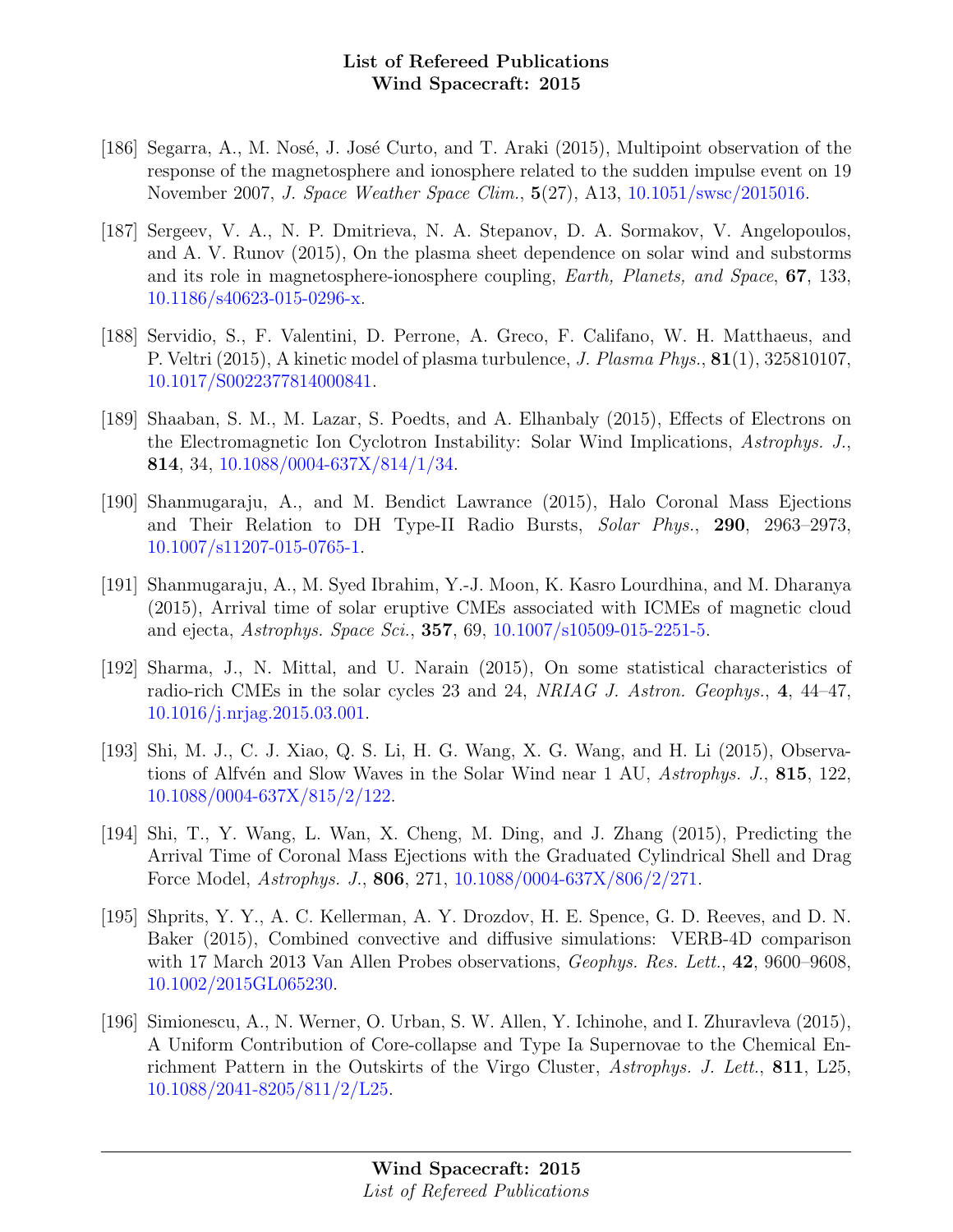- [186] Segarra, A., M. Nosé, J. José Curto, and T. Araki (2015), Multipoint observation of the response of the magnetosphere and ionosphere related to the sudden impulse event on 19 November 2007, J. Space Weather Space Clim., 5(27), A13, [10.1051/swsc/2015016.](http://dx.doi.org/10.1051/swsc/2015016)
- [187] Sergeev, V. A., N. P. Dmitrieva, N. A. Stepanov, D. A. Sormakov, V. Angelopoulos, and A. V. Runov (2015), On the plasma sheet dependence on solar wind and substorms and its role in magnetosphere-ionosphere coupling, Earth, Planets, and Space, 67, 133, [10.1186/s40623-015-0296-x.](http://dx.doi.org/10.1186/s40623-015-0296-x)
- [188] Servidio, S., F. Valentini, D. Perrone, A. Greco, F. Califano, W. H. Matthaeus, and P. Veltri (2015), A kinetic model of plasma turbulence, J. Plasma Phys., 81(1), 325810107, [10.1017/S0022377814000841.](http://dx.doi.org/10.1017/S0022377814000841)
- [189] Shaaban, S. M., M. Lazar, S. Poedts, and A. Elhanbaly (2015), Effects of Electrons on the Electromagnetic Ion Cyclotron Instability: Solar Wind Implications, Astrophys. J., 814, 34, [10.1088/0004-637X/814/1/34.](http://dx.doi.org/10.1088/0004-637X/814/1/34)
- [190] Shanmugaraju, A., and M. Bendict Lawrance (2015), Halo Coronal Mass Ejections and Their Relation to DH Type-II Radio Bursts, Solar Phys., 290, 2963–2973, [10.1007/s11207-015-0765-1.](http://dx.doi.org/10.1007/s11207-015-0765-1)
- [191] Shanmugaraju, A., M. Syed Ibrahim, Y.-J. Moon, K. Kasro Lourdhina, and M. Dharanya (2015), Arrival time of solar eruptive CMEs associated with ICMEs of magnetic cloud and ejecta, Astrophys. Space Sci., 357, 69, [10.1007/s10509-015-2251-5.](http://dx.doi.org/10.1007/s10509-015-2251-5)
- [192] Sharma, J., N. Mittal, and U. Narain (2015), On some statistical characteristics of radio-rich CMEs in the solar cycles 23 and 24, NRIAG J. Astron. Geophys., 4, 44–47, [10.1016/j.nrjag.2015.03.001.](http://dx.doi.org/10.1016/j.nrjag.2015.03.001)
- [193] Shi, M. J., C. J. Xiao, Q. S. Li, H. G. Wang, X. G. Wang, and H. Li (2015), Observations of Alfvén and Slow Waves in the Solar Wind near 1 AU,  $A \rightarrow S$ ,  $J.$  815, 122, [10.1088/0004-637X/815/2/122.](http://dx.doi.org/10.1088/0004-637X/815/2/122)
- [194] Shi, T., Y. Wang, L. Wan, X. Cheng, M. Ding, and J. Zhang (2015), Predicting the Arrival Time of Coronal Mass Ejections with the Graduated Cylindrical Shell and Drag Force Model, Astrophys. J., 806, 271, [10.1088/0004-637X/806/2/271.](http://dx.doi.org/10.1088/0004-637X/806/2/271)
- [195] Shprits, Y. Y., A. C. Kellerman, A. Y. Drozdov, H. E. Spence, G. D. Reeves, and D. N. Baker (2015), Combined convective and diffusive simulations: VERB-4D comparison with 17 March 2013 Van Allen Probes observations, Geophys. Res. Lett., 42, 9600–9608, [10.1002/2015GL065230.](http://dx.doi.org/10.1002/2015GL065230)
- [196] Simionescu, A., N. Werner, O. Urban, S. W. Allen, Y. Ichinohe, and I. Zhuravleva (2015), A Uniform Contribution of Core-collapse and Type Ia Supernovae to the Chemical Enrichment Pattern in the Outskirts of the Virgo Cluster, Astrophys. J. Lett., 811, L25, [10.1088/2041-8205/811/2/L25.](http://dx.doi.org/10.1088/2041-8205/811/2/L25)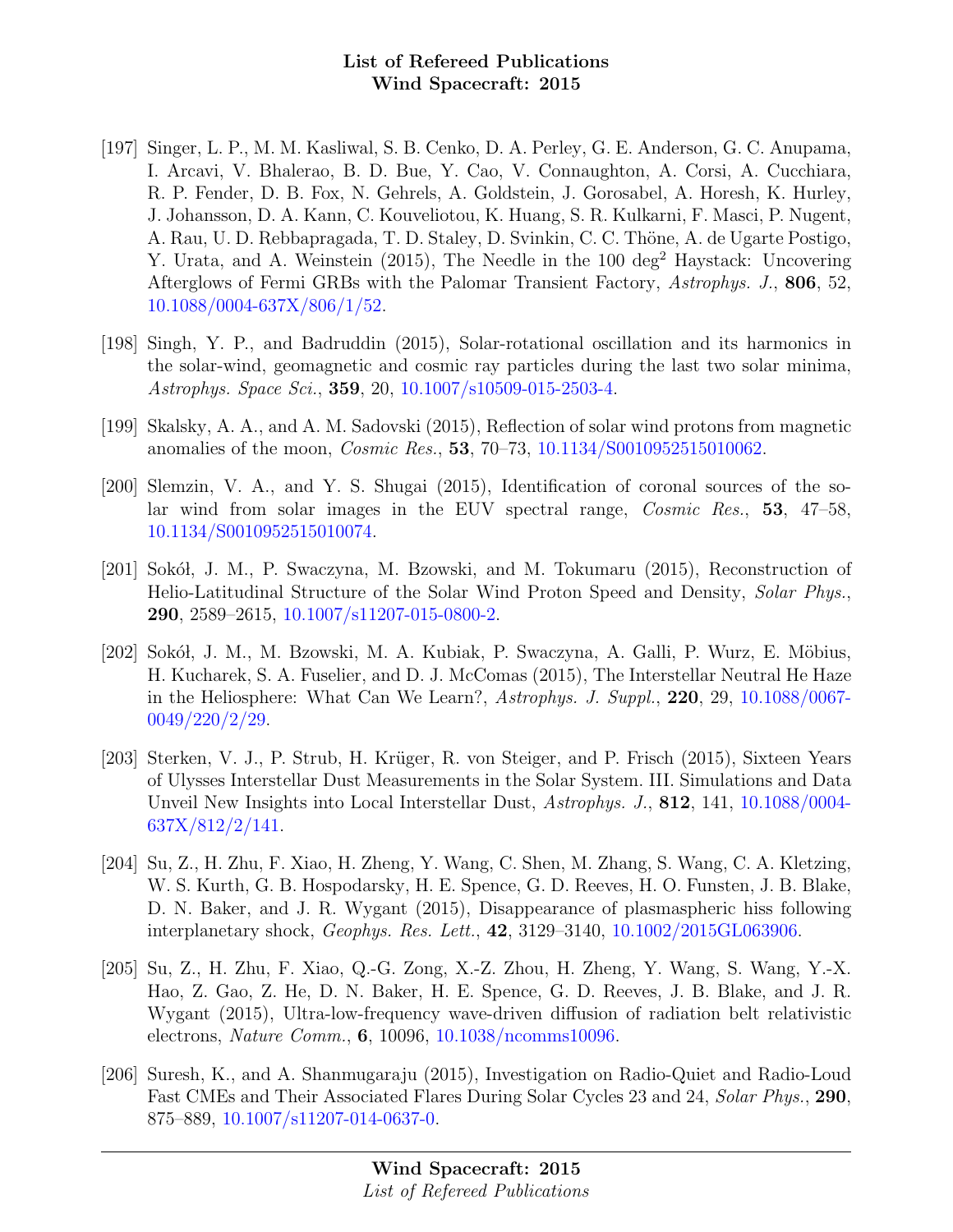- [197] Singer, L. P., M. M. Kasliwal, S. B. Cenko, D. A. Perley, G. E. Anderson, G. C. Anupama, I. Arcavi, V. Bhalerao, B. D. Bue, Y. Cao, V. Connaughton, A. Corsi, A. Cucchiara, R. P. Fender, D. B. Fox, N. Gehrels, A. Goldstein, J. Gorosabel, A. Horesh, K. Hurley, J. Johansson, D. A. Kann, C. Kouveliotou, K. Huang, S. R. Kulkarni, F. Masci, P. Nugent, A. Rau, U. D. Rebbapragada, T. D. Staley, D. Svinkin, C. C. Thöne, A. de Ugarte Postigo, Y. Urata, and A. Weinstein  $(2015)$ , The Needle in the 100 deg<sup>2</sup> Haystack: Uncovering Afterglows of Fermi GRBs with the Palomar Transient Factory, Astrophys. J., 806, 52, [10.1088/0004-637X/806/1/52.](http://dx.doi.org/10.1088/0004-637X/806/1/52)
- [198] Singh, Y. P., and Badruddin (2015), Solar-rotational oscillation and its harmonics in the solar-wind, geomagnetic and cosmic ray particles during the last two solar minima, Astrophys. Space Sci., 359, 20, [10.1007/s10509-015-2503-4.](http://dx.doi.org/10.1007/s10509-015-2503-4)
- [199] Skalsky, A. A., and A. M. Sadovski (2015), Reflection of solar wind protons from magnetic anomalies of the moon, Cosmic Res., 53, 70–73, [10.1134/S0010952515010062.](http://dx.doi.org/10.1134/S0010952515010062)
- [200] Slemzin, V. A., and Y. S. Shugai (2015), Identification of coronal sources of the solar wind from solar images in the EUV spectral range, Cosmic Res., 53, 47–58, [10.1134/S0010952515010074.](http://dx.doi.org/10.1134/S0010952515010074)
- [201] Sokół, J. M., P. Swaczyna, M. Bzowski, and M. Tokumaru  $(2015)$ , Reconstruction of Helio-Latitudinal Structure of the Solar Wind Proton Speed and Density, Solar Phys., 290, 2589–2615, [10.1007/s11207-015-0800-2.](http://dx.doi.org/10.1007/s11207-015-0800-2)
- [202] Sokół, J. M., M. Bzowski, M. A. Kubiak, P. Swaczyna, A. Galli, P. Wurz, E. Möbius, H. Kucharek, S. A. Fuselier, and D. J. McComas (2015), The Interstellar Neutral He Haze in the Heliosphere: What Can We Learn?, Astrophys. J. Suppl., 220, 29, [10.1088/0067-](http://dx.doi.org/10.1088/0067-0049/220/2/29) [0049/220/2/29.](http://dx.doi.org/10.1088/0067-0049/220/2/29)
- [203] Sterken, V. J., P. Strub, H. Krüger, R. von Steiger, and P. Frisch (2015), Sixteen Years of Ulysses Interstellar Dust Measurements in the Solar System. III. Simulations and Data Unveil New Insights into Local Interstellar Dust, Astrophys. J., **812**, 141, [10.1088/0004-](http://dx.doi.org/10.1088/0004-637X/812/2/141) [637X/812/2/141.](http://dx.doi.org/10.1088/0004-637X/812/2/141)
- [204] Su, Z., H. Zhu, F. Xiao, H. Zheng, Y. Wang, C. Shen, M. Zhang, S. Wang, C. A. Kletzing, W. S. Kurth, G. B. Hospodarsky, H. E. Spence, G. D. Reeves, H. O. Funsten, J. B. Blake, D. N. Baker, and J. R. Wygant (2015), Disappearance of plasmaspheric hiss following interplanetary shock, Geophys. Res. Lett., 42, 3129–3140, [10.1002/2015GL063906.](http://dx.doi.org/10.1002/2015GL063906)
- [205] Su, Z., H. Zhu, F. Xiao, Q.-G. Zong, X.-Z. Zhou, H. Zheng, Y. Wang, S. Wang, Y.-X. Hao, Z. Gao, Z. He, D. N. Baker, H. E. Spence, G. D. Reeves, J. B. Blake, and J. R. Wygant (2015), Ultra-low-frequency wave-driven diffusion of radiation belt relativistic electrons, Nature Comm., 6, 10096, [10.1038/ncomms10096.](http://dx.doi.org/10.1038/ncomms10096)
- [206] Suresh, K., and A. Shanmugaraju (2015), Investigation on Radio-Quiet and Radio-Loud Fast CMEs and Their Associated Flares During Solar Cycles 23 and 24, Solar Phys., 290, 875–889, [10.1007/s11207-014-0637-0.](http://dx.doi.org/10.1007/s11207-014-0637-0)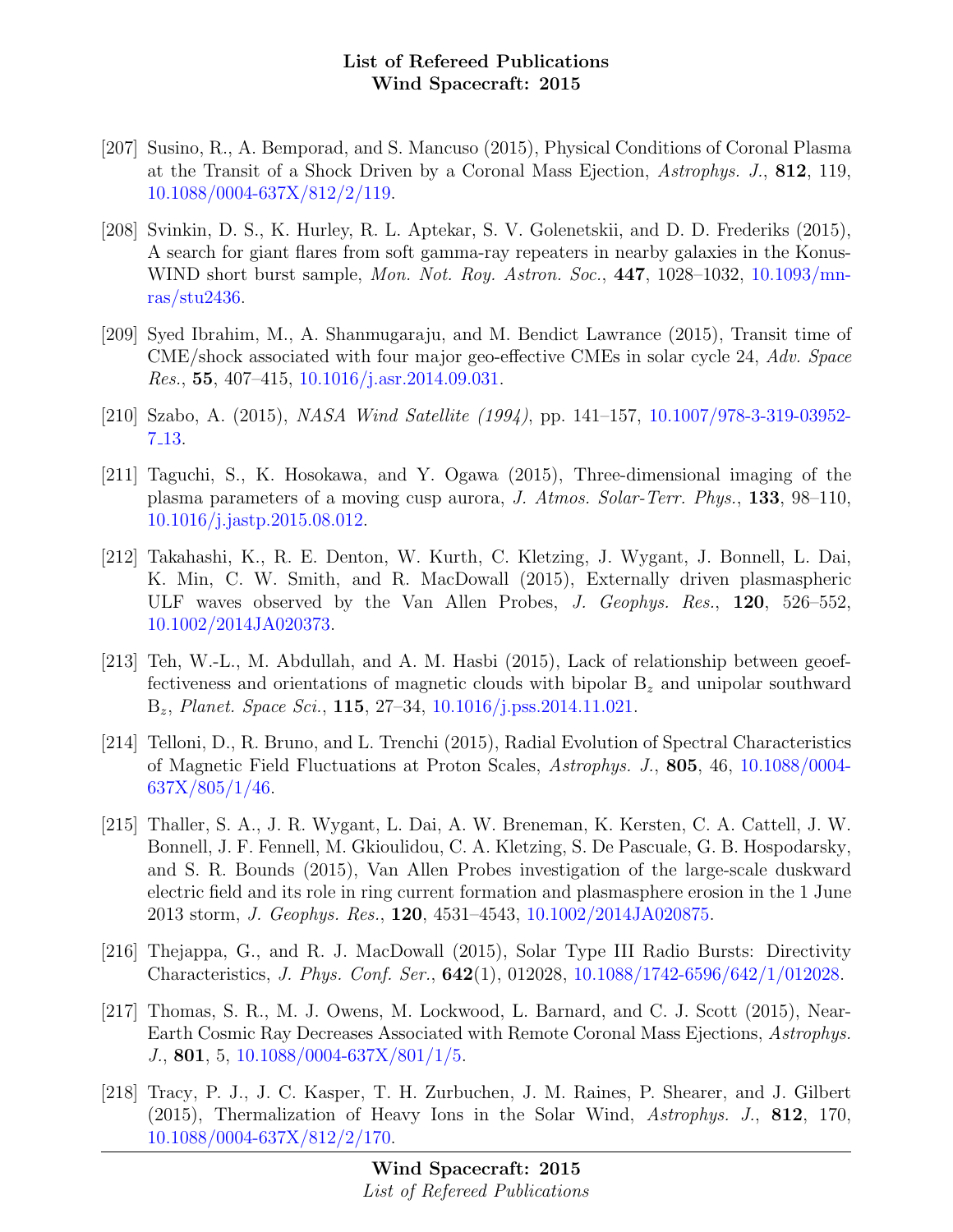- [207] Susino, R., A. Bemporad, and S. Mancuso (2015), Physical Conditions of Coronal Plasma at the Transit of a Shock Driven by a Coronal Mass Ejection, Astrophys. J., 812, 119, [10.1088/0004-637X/812/2/119.](http://dx.doi.org/10.1088/0004-637X/812/2/119)
- [208] Svinkin, D. S., K. Hurley, R. L. Aptekar, S. V. Golenetskii, and D. D. Frederiks (2015), A search for giant flares from soft gamma-ray repeaters in nearby galaxies in the Konus-WIND short burst sample, *Mon. Not. Roy. Astron. Soc.*, **447**, 1028–1032, [10.1093/mn](http://dx.doi.org/10.1093/mnras/stu2436)[ras/stu2436.](http://dx.doi.org/10.1093/mnras/stu2436)
- [209] Syed Ibrahim, M., A. Shanmugaraju, and M. Bendict Lawrance (2015), Transit time of CME/shock associated with four major geo-effective CMEs in solar cycle 24, Adv. Space *Res.*, 55, 407–415, [10.1016/j.asr.2014.09.031.](http://dx.doi.org/10.1016/j.asr.2014.09.031)
- [210] Szabo, A. (2015), NASA Wind Satellite (1994), pp. 141–157, [10.1007/978-3-319-03952-](http://dx.doi.org/10.1007/978-3-319-03952-7_13) 7 [13.](http://dx.doi.org/10.1007/978-3-319-03952-7_13)
- [211] Taguchi, S., K. Hosokawa, and Y. Ogawa (2015), Three-dimensional imaging of the plasma parameters of a moving cusp aurora, J. Atmos. Solar-Terr. Phys., 133, 98–110, [10.1016/j.jastp.2015.08.012.](http://dx.doi.org/10.1016/j.jastp.2015.08.012)
- [212] Takahashi, K., R. E. Denton, W. Kurth, C. Kletzing, J. Wygant, J. Bonnell, L. Dai, K. Min, C. W. Smith, and R. MacDowall (2015), Externally driven plasmaspheric ULF waves observed by the Van Allen Probes, J. Geophys. Res., 120, 526–552, [10.1002/2014JA020373.](http://dx.doi.org/10.1002/2014JA020373)
- [213] Teh, W.-L., M. Abdullah, and A. M. Hasbi (2015), Lack of relationship between geoeffectiveness and orientations of magnetic clouds with bipolar  $B<sub>z</sub>$  and unipolar southward Bz, Planet. Space Sci., 115, 27–34, [10.1016/j.pss.2014.11.021.](http://dx.doi.org/10.1016/j.pss.2014.11.021)
- [214] Telloni, D., R. Bruno, and L. Trenchi (2015), Radial Evolution of Spectral Characteristics of Magnetic Field Fluctuations at Proton Scales, Astrophys. J., 805, 46, [10.1088/0004-](http://dx.doi.org/10.1088/0004-637X/805/1/46)  $637X/805/1/46$ .
- [215] Thaller, S. A., J. R. Wygant, L. Dai, A. W. Breneman, K. Kersten, C. A. Cattell, J. W. Bonnell, J. F. Fennell, M. Gkioulidou, C. A. Kletzing, S. De Pascuale, G. B. Hospodarsky, and S. R. Bounds (2015), Van Allen Probes investigation of the large-scale duskward electric field and its role in ring current formation and plasmasphere erosion in the 1 June 2013 storm, J. Geophys. Res., 120, 4531–4543, [10.1002/2014JA020875.](http://dx.doi.org/10.1002/2014JA020875)
- [216] Thejappa, G., and R. J. MacDowall (2015), Solar Type III Radio Bursts: Directivity Characteristics, J. Phys. Conf. Ser., 642(1), 012028, [10.1088/1742-6596/642/1/012028.](http://dx.doi.org/10.1088/1742-6596/642/1/012028)
- [217] Thomas, S. R., M. J. Owens, M. Lockwood, L. Barnard, and C. J. Scott (2015), Near-Earth Cosmic Ray Decreases Associated with Remote Coronal Mass Ejections, Astrophys. J., 801, 5, [10.1088/0004-637X/801/1/5.](http://dx.doi.org/10.1088/0004-637X/801/1/5)
- [218] Tracy, P. J., J. C. Kasper, T. H. Zurbuchen, J. M. Raines, P. Shearer, and J. Gilbert (2015), Thermalization of Heavy Ions in the Solar Wind, Astrophys. J., 812, 170, [10.1088/0004-637X/812/2/170.](http://dx.doi.org/10.1088/0004-637X/812/2/170)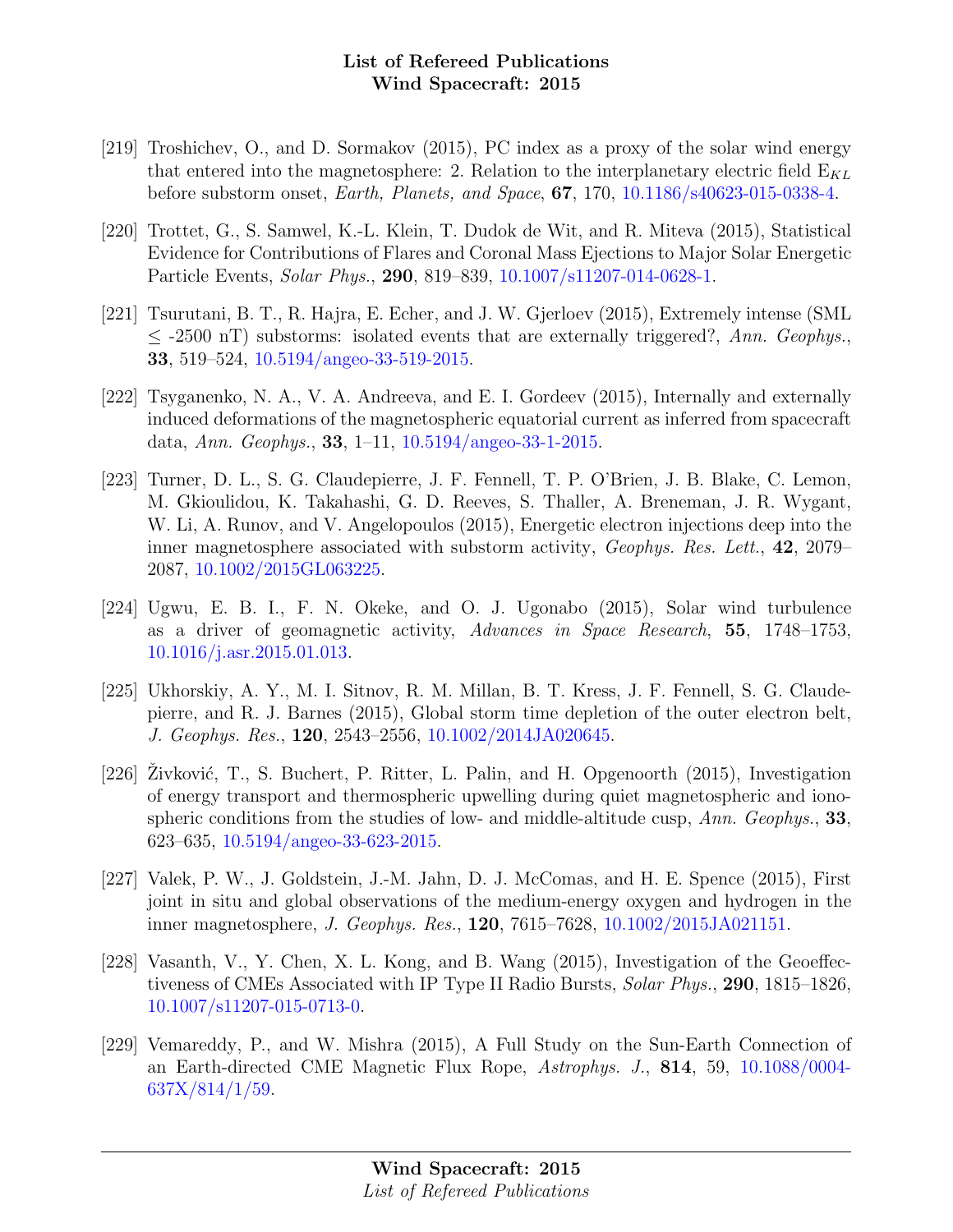- [219] Troshichev, O., and D. Sormakov (2015), PC index as a proxy of the solar wind energy that entered into the magnetosphere: 2. Relation to the interplanetary electric field  $E_{KL}$ before substorm onset, Earth, Planets, and Space, 67, 170, [10.1186/s40623-015-0338-4.](http://dx.doi.org/10.1186/s40623-015-0338-4)
- [220] Trottet, G., S. Samwel, K.-L. Klein, T. Dudok de Wit, and R. Miteva (2015), Statistical Evidence for Contributions of Flares and Coronal Mass Ejections to Major Solar Energetic Particle Events, Solar Phys., 290, 819–839, [10.1007/s11207-014-0628-1.](http://dx.doi.org/10.1007/s11207-014-0628-1)
- [221] Tsurutani, B. T., R. Hajra, E. Echer, and J. W. Gjerloev (2015), Extremely intense (SML  $\leq$  -2500 nT) substorms: isolated events that are externally triggered?, Ann. Geophys. 33, 519–524, [10.5194/angeo-33-519-2015.](http://dx.doi.org/10.5194/angeo-33-519-2015)
- [222] Tsyganenko, N. A., V. A. Andreeva, and E. I. Gordeev (2015), Internally and externally induced deformations of the magnetospheric equatorial current as inferred from spacecraft data, Ann. Geophys., 33, 1–11, [10.5194/angeo-33-1-2015.](http://dx.doi.org/10.5194/angeo-33-1-2015)
- [223] Turner, D. L., S. G. Claudepierre, J. F. Fennell, T. P. O'Brien, J. B. Blake, C. Lemon, M. Gkioulidou, K. Takahashi, G. D. Reeves, S. Thaller, A. Breneman, J. R. Wygant, W. Li, A. Runov, and V. Angelopoulos (2015), Energetic electron injections deep into the inner magnetosphere associated with substorm activity, *Geophys. Res. Lett.*, 42, 2079– 2087, [10.1002/2015GL063225.](http://dx.doi.org/10.1002/2015GL063225)
- [224] Ugwu, E. B. I., F. N. Okeke, and O. J. Ugonabo (2015), Solar wind turbulence as a driver of geomagnetic activity, Advances in Space Research, 55, 1748–1753, [10.1016/j.asr.2015.01.013.](http://dx.doi.org/10.1016/j.asr.2015.01.013)
- [225] Ukhorskiy, A. Y., M. I. Sitnov, R. M. Millan, B. T. Kress, J. F. Fennell, S. G. Claudepierre, and R. J. Barnes (2015), Global storm time depletion of the outer electron belt, J. Geophys. Res., 120, 2543–2556, [10.1002/2014JA020645.](http://dx.doi.org/10.1002/2014JA020645)
- [226] Zivković, T., S. Buchert, P. Ritter, L. Palin, and H. Opgenoorth  $(2015)$ , Investigation of energy transport and thermospheric upwelling during quiet magnetospheric and ionospheric conditions from the studies of low- and middle-altitude cusp,  $Ann. Geophys.,$  33, 623–635, [10.5194/angeo-33-623-2015.](http://dx.doi.org/10.5194/angeo-33-623-2015)
- [227] Valek, P. W., J. Goldstein, J.-M. Jahn, D. J. McComas, and H. E. Spence (2015), First joint in situ and global observations of the medium-energy oxygen and hydrogen in the inner magnetosphere, J. Geophys. Res., 120, 7615–7628, [10.1002/2015JA021151.](http://dx.doi.org/10.1002/2015JA021151)
- [228] Vasanth, V., Y. Chen, X. L. Kong, and B. Wang (2015), Investigation of the Geoeffectiveness of CMEs Associated with IP Type II Radio Bursts, Solar Phys., 290, 1815–1826, [10.1007/s11207-015-0713-0.](http://dx.doi.org/10.1007/s11207-015-0713-0)
- [229] Vemareddy, P., and W. Mishra (2015), A Full Study on the Sun-Earth Connection of an Earth-directed CME Magnetic Flux Rope, Astrophys. J., 814, 59, [10.1088/0004-](http://dx.doi.org/10.1088/0004-637X/814/1/59) [637X/814/1/59.](http://dx.doi.org/10.1088/0004-637X/814/1/59)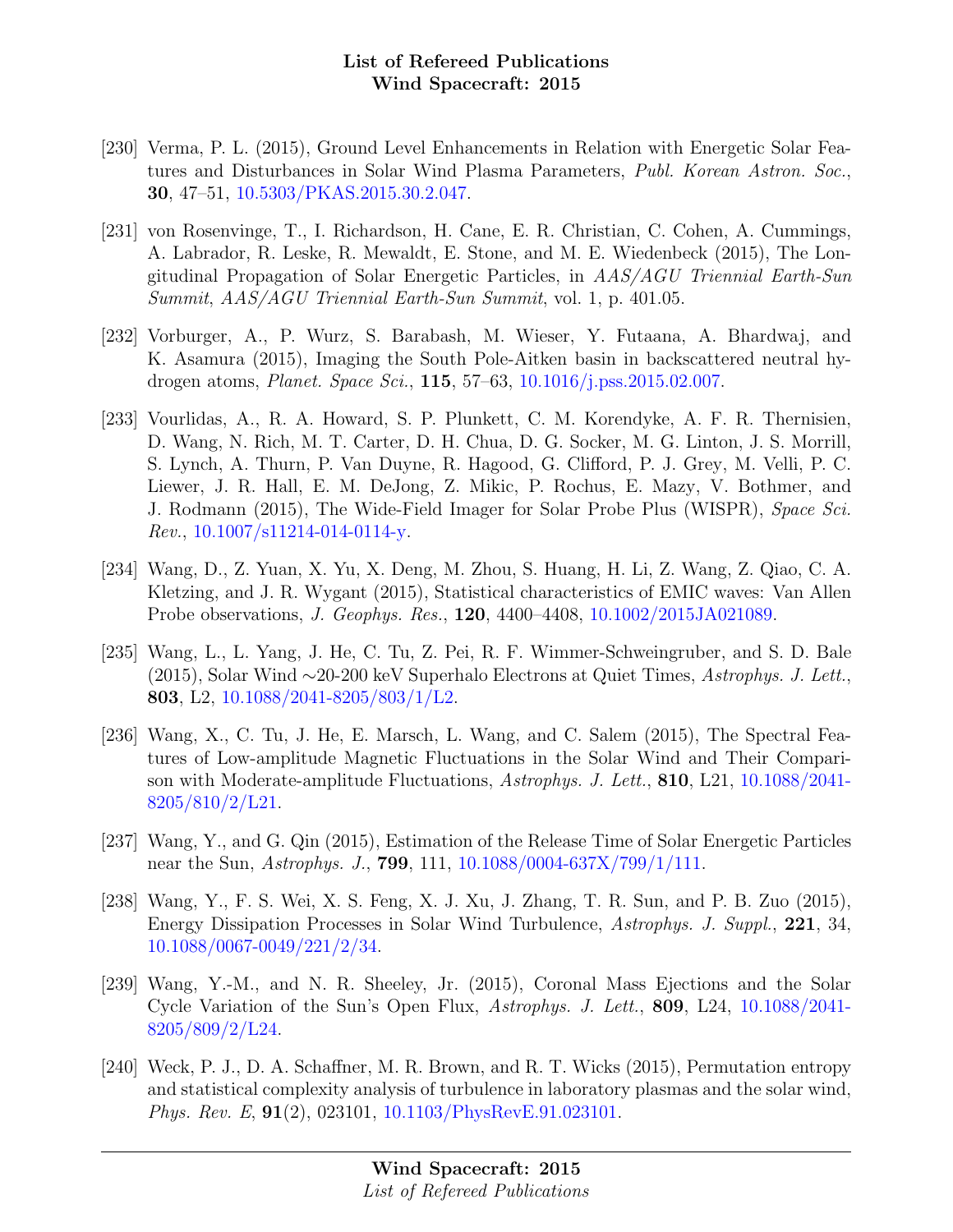- [230] Verma, P. L. (2015), Ground Level Enhancements in Relation with Energetic Solar Features and Disturbances in Solar Wind Plasma Parameters, Publ. Korean Astron. Soc., 30, 47–51, [10.5303/PKAS.2015.30.2.047.](http://dx.doi.org/10.5303/PKAS.2015.30.2.047)
- [231] von Rosenvinge, T., I. Richardson, H. Cane, E. R. Christian, C. Cohen, A. Cummings, A. Labrador, R. Leske, R. Mewaldt, E. Stone, and M. E. Wiedenbeck (2015), The Longitudinal Propagation of Solar Energetic Particles, in AAS/AGU Triennial Earth-Sun Summit, AAS/AGU Triennial Earth-Sun Summit, vol. 1, p. 401.05.
- [232] Vorburger, A., P. Wurz, S. Barabash, M. Wieser, Y. Futaana, A. Bhardwaj, and K. Asamura (2015), Imaging the South Pole-Aitken basin in backscattered neutral hydrogen atoms, Planet. Space Sci., 115, 57–63, [10.1016/j.pss.2015.02.007.](http://dx.doi.org/10.1016/j.pss.2015.02.007)
- [233] Vourlidas, A., R. A. Howard, S. P. Plunkett, C. M. Korendyke, A. F. R. Thernisien, D. Wang, N. Rich, M. T. Carter, D. H. Chua, D. G. Socker, M. G. Linton, J. S. Morrill, S. Lynch, A. Thurn, P. Van Duyne, R. Hagood, G. Clifford, P. J. Grey, M. Velli, P. C. Liewer, J. R. Hall, E. M. DeJong, Z. Mikic, P. Rochus, E. Mazy, V. Bothmer, and J. Rodmann (2015), The Wide-Field Imager for Solar Probe Plus (WISPR), Space Sci. Rev., [10.1007/s11214-014-0114-y.](http://dx.doi.org/10.1007/s11214-014-0114-y)
- [234] Wang, D., Z. Yuan, X. Yu, X. Deng, M. Zhou, S. Huang, H. Li, Z. Wang, Z. Qiao, C. A. Kletzing, and J. R. Wygant (2015), Statistical characteristics of EMIC waves: Van Allen Probe observations, J. Geophys. Res., 120, 4400–4408, [10.1002/2015JA021089.](http://dx.doi.org/10.1002/2015JA021089)
- [235] Wang, L., L. Yang, J. He, C. Tu, Z. Pei, R. F. Wimmer-Schweingruber, and S. D. Bale (2015), Solar Wind ∼20-200 keV Superhalo Electrons at Quiet Times, Astrophys. J. Lett., 803, L2, [10.1088/2041-8205/803/1/L2.](http://dx.doi.org/10.1088/2041-8205/803/1/L2)
- [236] Wang, X., C. Tu, J. He, E. Marsch, L. Wang, and C. Salem (2015), The Spectral Features of Low-amplitude Magnetic Fluctuations in the Solar Wind and Their Comparison with Moderate-amplitude Fluctuations, Astrophys. J. Lett., 810, L21, [10.1088/2041-](http://dx.doi.org/10.1088/2041-8205/810/2/L21) [8205/810/2/L21.](http://dx.doi.org/10.1088/2041-8205/810/2/L21)
- [237] Wang, Y., and G. Qin (2015), Estimation of the Release Time of Solar Energetic Particles near the Sun, *Astrophys. J.*, **799**, 111, [10.1088/0004-637X/799/1/111.](http://dx.doi.org/10.1088/0004-637X/799/1/111)
- [238] Wang, Y., F. S. Wei, X. S. Feng, X. J. Xu, J. Zhang, T. R. Sun, and P. B. Zuo (2015), Energy Dissipation Processes in Solar Wind Turbulence, Astrophys. J. Suppl., 221, 34, [10.1088/0067-0049/221/2/34.](http://dx.doi.org/10.1088/0067-0049/221/2/34)
- [239] Wang, Y.-M., and N. R. Sheeley, Jr. (2015), Coronal Mass Ejections and the Solar Cycle Variation of the Sun's Open Flux, Astrophys. J. Lett., 809, L24, [10.1088/2041-](http://dx.doi.org/10.1088/2041-8205/809/2/L24) [8205/809/2/L24.](http://dx.doi.org/10.1088/2041-8205/809/2/L24)
- [240] Weck, P. J., D. A. Schaffner, M. R. Brown, and R. T. Wicks (2015), Permutation entropy and statistical complexity analysis of turbulence in laboratory plasmas and the solar wind, Phys. Rev. E, 91(2), 023101, [10.1103/PhysRevE.91.023101.](http://dx.doi.org/10.1103/PhysRevE.91.023101)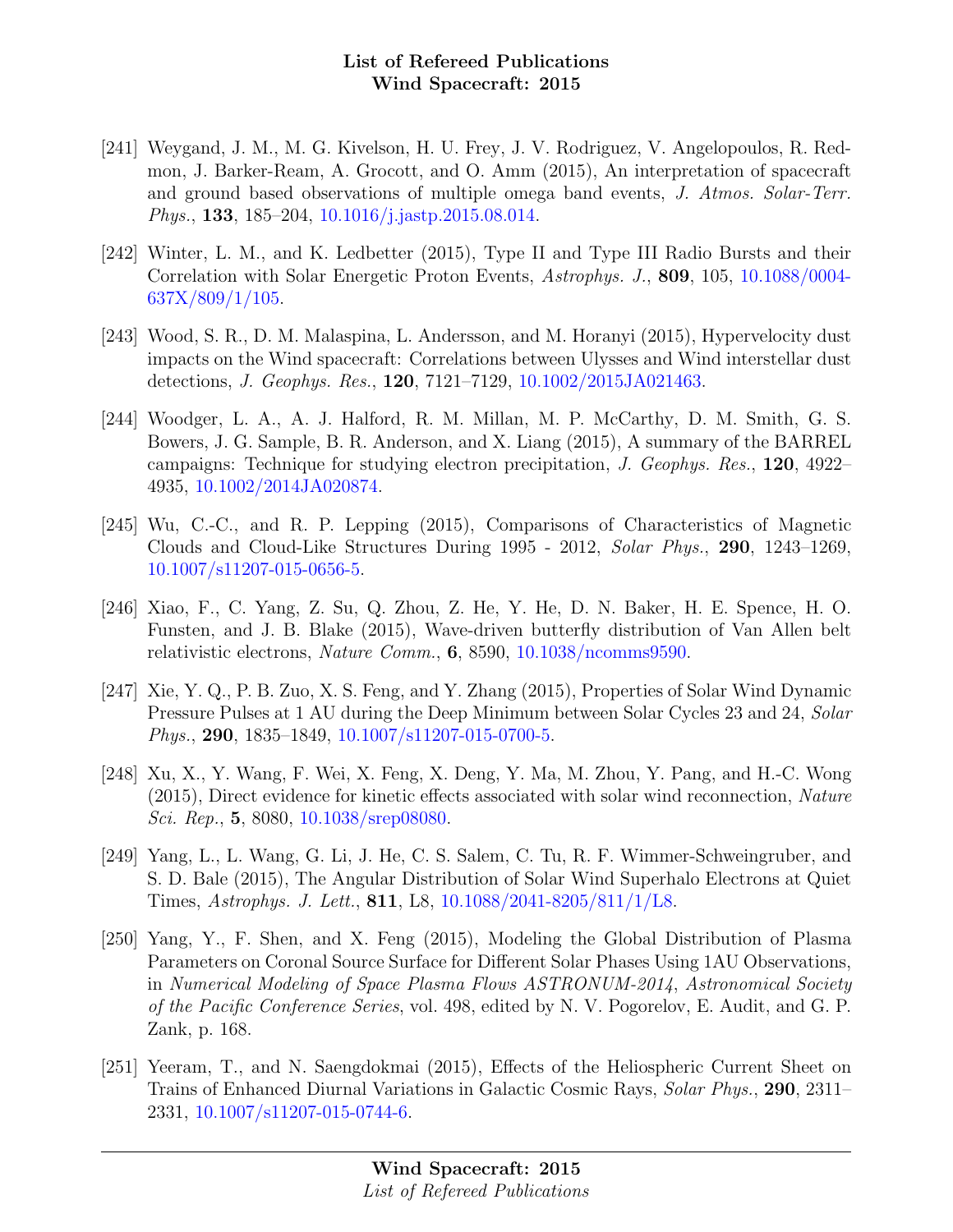- [241] Weygand, J. M., M. G. Kivelson, H. U. Frey, J. V. Rodriguez, V. Angelopoulos, R. Redmon, J. Barker-Ream, A. Grocott, and O. Amm (2015), An interpretation of spacecraft and ground based observations of multiple omega band events, J. Atmos. Solar-Terr. Phys., 133, 185–204, [10.1016/j.jastp.2015.08.014.](http://dx.doi.org/10.1016/j.jastp.2015.08.014)
- [242] Winter, L. M., and K. Ledbetter (2015), Type II and Type III Radio Bursts and their Correlation with Solar Energetic Proton Events, Astrophys. J., 809, 105, [10.1088/0004-](http://dx.doi.org/10.1088/0004-637X/809/1/105)  $637X/809/1/105$ .
- [243] Wood, S. R., D. M. Malaspina, L. Andersson, and M. Horanyi (2015), Hypervelocity dust impacts on the Wind spacecraft: Correlations between Ulysses and Wind interstellar dust detections, J. Geophys. Res., 120, 7121–7129, [10.1002/2015JA021463.](http://dx.doi.org/10.1002/2015JA021463)
- [244] Woodger, L. A., A. J. Halford, R. M. Millan, M. P. McCarthy, D. M. Smith, G. S. Bowers, J. G. Sample, B. R. Anderson, and X. Liang (2015), A summary of the BARREL campaigns: Technique for studying electron precipitation, J. Geophys. Res., 120, 4922– 4935, [10.1002/2014JA020874.](http://dx.doi.org/10.1002/2014JA020874)
- [245] Wu, C.-C., and R. P. Lepping (2015), Comparisons of Characteristics of Magnetic Clouds and Cloud-Like Structures During 1995 - 2012, Solar Phys., 290, 1243–1269, [10.1007/s11207-015-0656-5.](http://dx.doi.org/10.1007/s11207-015-0656-5)
- [246] Xiao, F., C. Yang, Z. Su, Q. Zhou, Z. He, Y. He, D. N. Baker, H. E. Spence, H. O. Funsten, and J. B. Blake (2015), Wave-driven butterfly distribution of Van Allen belt relativistic electrons, Nature Comm., 6, 8590, [10.1038/ncomms9590.](http://dx.doi.org/10.1038/ncomms9590)
- [247] Xie, Y. Q., P. B. Zuo, X. S. Feng, and Y. Zhang (2015), Properties of Solar Wind Dynamic Pressure Pulses at 1 AU during the Deep Minimum between Solar Cycles 23 and 24, Solar Phys., 290, 1835–1849, [10.1007/s11207-015-0700-5.](http://dx.doi.org/10.1007/s11207-015-0700-5)
- [248] Xu, X., Y. Wang, F. Wei, X. Feng, X. Deng, Y. Ma, M. Zhou, Y. Pang, and H.-C. Wong (2015), Direct evidence for kinetic effects associated with solar wind reconnection, Nature Sci. Rep., 5, 8080, [10.1038/srep08080.](http://dx.doi.org/10.1038/srep08080)
- [249] Yang, L., L. Wang, G. Li, J. He, C. S. Salem, C. Tu, R. F. Wimmer-Schweingruber, and S. D. Bale (2015), The Angular Distribution of Solar Wind Superhalo Electrons at Quiet Times, Astrophys. J. Lett., 811, L8, [10.1088/2041-8205/811/1/L8.](http://dx.doi.org/10.1088/2041-8205/811/1/L8)
- [250] Yang, Y., F. Shen, and X. Feng (2015), Modeling the Global Distribution of Plasma Parameters on Coronal Source Surface for Different Solar Phases Using 1AU Observations, in Numerical Modeling of Space Plasma Flows ASTRONUM-2014, Astronomical Society of the Pacific Conference Series, vol. 498, edited by N. V. Pogorelov, E. Audit, and G. P. Zank, p. 168.
- [251] Yeeram, T., and N. Saengdokmai (2015), Effects of the Heliospheric Current Sheet on Trains of Enhanced Diurnal Variations in Galactic Cosmic Rays, Solar Phys., 290, 2311– 2331, [10.1007/s11207-015-0744-6.](http://dx.doi.org/10.1007/s11207-015-0744-6)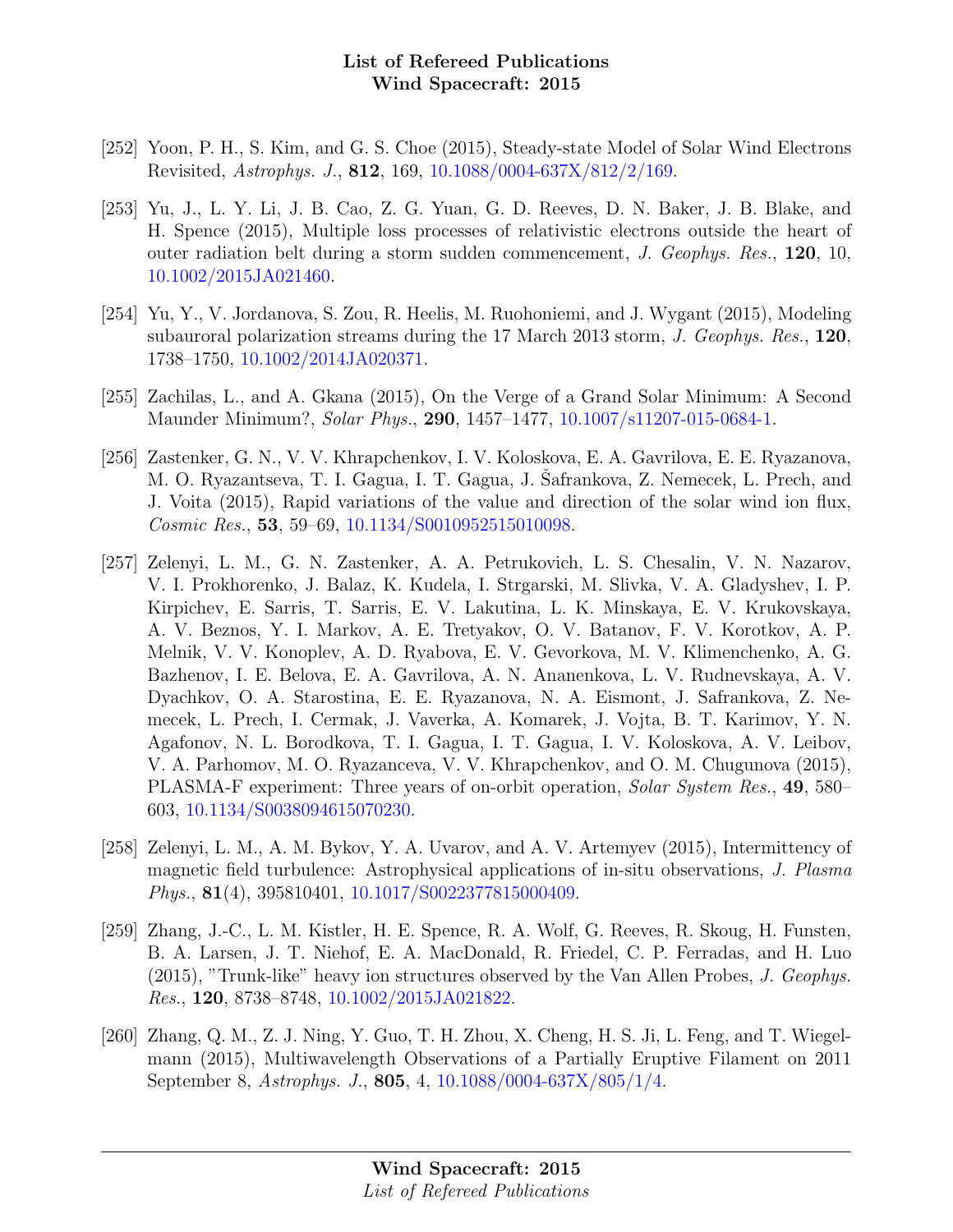- [252] Yoon, P. H., S. Kim, and G. S. Choe (2015), Steady-state Model of Solar Wind Electrons Revisited, Astrophys. J., 812, 169, [10.1088/0004-637X/812/2/169.](http://dx.doi.org/10.1088/0004-637X/812/2/169)
- [253] Yu, J., L. Y. Li, J. B. Cao, Z. G. Yuan, G. D. Reeves, D. N. Baker, J. B. Blake, and H. Spence (2015), Multiple loss processes of relativistic electrons outside the heart of outer radiation belt during a storm sudden commencement, J. Geophys. Res., 120, 10, [10.1002/2015JA021460.](http://dx.doi.org/10.1002/2015JA021460)
- [254] Yu, Y., V. Jordanova, S. Zou, R. Heelis, M. Ruohoniemi, and J. Wygant (2015), Modeling subauroral polarization streams during the 17 March 2013 storm, J. Geophys. Res., 120, 1738–1750, [10.1002/2014JA020371.](http://dx.doi.org/10.1002/2014JA020371)
- [255] Zachilas, L., and A. Gkana (2015), On the Verge of a Grand Solar Minimum: A Second Maunder Minimum?, Solar Phys., 290, 1457–1477, [10.1007/s11207-015-0684-1.](http://dx.doi.org/10.1007/s11207-015-0684-1)
- [256] Zastenker, G. N., V. V. Khrapchenkov, I. V. Koloskova, E. A. Gavrilova, E. E. Ryazanova, M. O. Ryazantseva, T. I. Gagua, I. T. Gagua, J. Safrankova, Z. Nemecek, L. Prech, and J. Voita (2015), Rapid variations of the value and direction of the solar wind ion flux, Cosmic Res., 53, 59–69, [10.1134/S0010952515010098.](http://dx.doi.org/10.1134/S0010952515010098)
- [257] Zelenyi, L. M., G. N. Zastenker, A. A. Petrukovich, L. S. Chesalin, V. N. Nazarov, V. I. Prokhorenko, J. Balaz, K. Kudela, I. Strgarski, M. Slivka, V. A. Gladyshev, I. P. Kirpichev, E. Sarris, T. Sarris, E. V. Lakutina, L. K. Minskaya, E. V. Krukovskaya, A. V. Beznos, Y. I. Markov, A. E. Tretyakov, O. V. Batanov, F. V. Korotkov, A. P. Melnik, V. V. Konoplev, A. D. Ryabova, E. V. Gevorkova, M. V. Klimenchenko, A. G. Bazhenov, I. E. Belova, E. A. Gavrilova, A. N. Ananenkova, L. V. Rudnevskaya, A. V. Dyachkov, O. A. Starostina, E. E. Ryazanova, N. A. Eismont, J. Safrankova, Z. Nemecek, L. Prech, I. Cermak, J. Vaverka, A. Komarek, J. Vojta, B. T. Karimov, Y. N. Agafonov, N. L. Borodkova, T. I. Gagua, I. T. Gagua, I. V. Koloskova, A. V. Leibov, V. A. Parhomov, M. O. Ryazanceva, V. V. Khrapchenkov, and O. M. Chugunova (2015), PLASMA-F experiment: Three years of on-orbit operation, Solar System Res., 49, 580– 603, [10.1134/S0038094615070230.](http://dx.doi.org/10.1134/S0038094615070230)
- [258] Zelenyi, L. M., A. M. Bykov, Y. A. Uvarov, and A. V. Artemyev (2015), Intermittency of magnetic field turbulence: Astrophysical applications of in-situ observations, J. Plasma Phys., 81(4), 395810401, [10.1017/S0022377815000409.](http://dx.doi.org/10.1017/S0022377815000409)
- [259] Zhang, J.-C., L. M. Kistler, H. E. Spence, R. A. Wolf, G. Reeves, R. Skoug, H. Funsten, B. A. Larsen, J. T. Niehof, E. A. MacDonald, R. Friedel, C. P. Ferradas, and H. Luo (2015), "Trunk-like" heavy ion structures observed by the Van Allen Probes, J. Geophys. Res., 120, 8738–8748, [10.1002/2015JA021822.](http://dx.doi.org/10.1002/2015JA021822)
- [260] Zhang, Q. M., Z. J. Ning, Y. Guo, T. H. Zhou, X. Cheng, H. S. Ji, L. Feng, and T. Wiegelmann (2015), Multiwavelength Observations of a Partially Eruptive Filament on 2011 September 8, Astrophys. J., 805, 4, [10.1088/0004-637X/805/1/4.](http://dx.doi.org/10.1088/0004-637X/805/1/4)